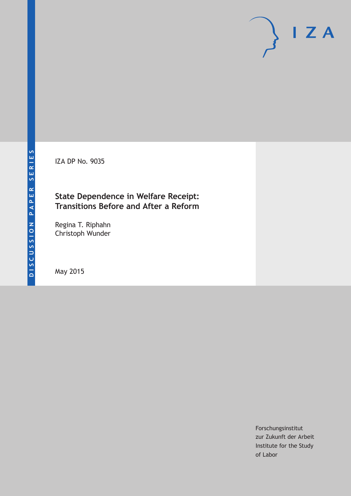IZA DP No. 9035

## **State Dependence in Welfare Receipt: Transitions Before and After a Reform**

Regina T. Riphahn Christoph Wunder

May 2015

Forschungsinstitut zur Zukunft der Arbeit Institute for the Study of Labor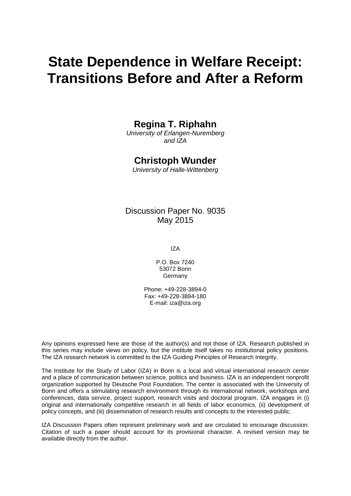# **State Dependence in Welfare Receipt: Transitions Before and After a Reform**

## **Regina T. Riphahn**

*University of Erlangen-Nuremberg and IZA*

## **Christoph Wunder**

*University of Halle-Wittenberg*

## Discussion Paper No. 9035 May 2015

IZA

P.O. Box 7240 53072 Bonn Germany

Phone: +49-228-3894-0 Fax: +49-228-3894-180 E-mail: iza@iza.org

Any opinions expressed here are those of the author(s) and not those of IZA. Research published in this series may include views on policy, but the institute itself takes no institutional policy positions. The IZA research network is committed to the IZA Guiding Principles of Research Integrity.

The Institute for the Study of Labor (IZA) in Bonn is a local and virtual international research center and a place of communication between science, politics and business. IZA is an independent nonprofit organization supported by Deutsche Post Foundation. The center is associated with the University of Bonn and offers a stimulating research environment through its international network, workshops and conferences, data service, project support, research visits and doctoral program. IZA engages in (i) original and internationally competitive research in all fields of labor economics, (ii) development of policy concepts, and (iii) dissemination of research results and concepts to the interested public.

IZA Discussion Papers often represent preliminary work and are circulated to encourage discussion. Citation of such a paper should account for its provisional character. A revised version may be available directly from the author.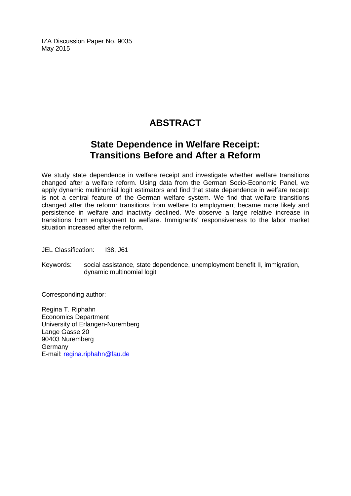IZA Discussion Paper No. 9035 May 2015

# **ABSTRACT**

# **State Dependence in Welfare Receipt: Transitions Before and After a Reform**

We study state dependence in welfare receipt and investigate whether welfare transitions changed after a welfare reform. Using data from the German Socio-Economic Panel, we apply dynamic multinomial logit estimators and find that state dependence in welfare receipt is not a central feature of the German welfare system. We find that welfare transitions changed after the reform: transitions from welfare to employment became more likely and persistence in welfare and inactivity declined. We observe a large relative increase in transitions from employment to welfare. Immigrants' responsiveness to the labor market situation increased after the reform.

JEL Classification: I38, J61

Keywords: social assistance, state dependence, unemployment benefit II, immigration, dynamic multinomial logit

Corresponding author:

Regina T. Riphahn Economics Department University of Erlangen-Nuremberg Lange Gasse 20 90403 Nuremberg Germany E-mail: [regina.riphahn@fau.de](mailto:regina.riphahn@fau.de)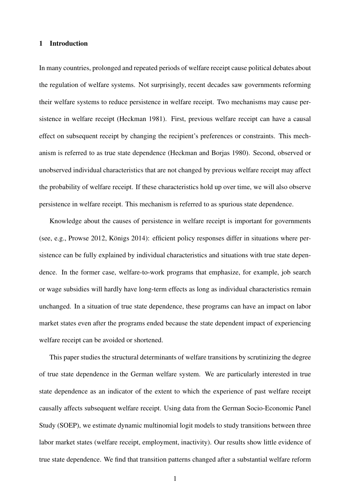#### 1 Introduction

In many countries, prolonged and repeated periods of welfare receipt cause political debates about the regulation of welfare systems. Not surprisingly, recent decades saw governments reforming their welfare systems to reduce persistence in welfare receipt. Two mechanisms may cause persistence in welfare receipt (Heckman 1981). First, previous welfare receipt can have a causal effect on subsequent receipt by changing the recipient's preferences or constraints. This mechanism is referred to as true state dependence (Heckman and Borjas 1980). Second, observed or unobserved individual characteristics that are not changed by previous welfare receipt may affect the probability of welfare receipt. If these characteristics hold up over time, we will also observe persistence in welfare receipt. This mechanism is referred to as spurious state dependence.

Knowledge about the causes of persistence in welfare receipt is important for governments (see, e.g., Prowse 2012, Königs 2014): efficient policy responses differ in situations where persistence can be fully explained by individual characteristics and situations with true state dependence. In the former case, welfare-to-work programs that emphasize, for example, job search or wage subsidies will hardly have long-term effects as long as individual characteristics remain unchanged. In a situation of true state dependence, these programs can have an impact on labor market states even after the programs ended because the state dependent impact of experiencing welfare receipt can be avoided or shortened.

This paper studies the structural determinants of welfare transitions by scrutinizing the degree of true state dependence in the German welfare system. We are particularly interested in true state dependence as an indicator of the extent to which the experience of past welfare receipt causally affects subsequent welfare receipt. Using data from the German Socio-Economic Panel Study (SOEP), we estimate dynamic multinomial logit models to study transitions between three labor market states (welfare receipt, employment, inactivity). Our results show little evidence of true state dependence. We find that transition patterns changed after a substantial welfare reform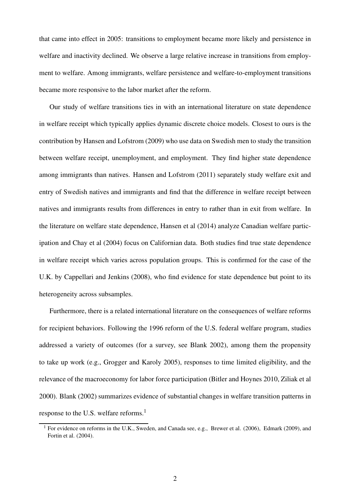that came into effect in 2005: transitions to employment became more likely and persistence in welfare and inactivity declined. We observe a large relative increase in transitions from employment to welfare. Among immigrants, welfare persistence and welfare-to-employment transitions became more responsive to the labor market after the reform.

Our study of welfare transitions ties in with an international literature on state dependence in welfare receipt which typically applies dynamic discrete choice models. Closest to ours is the contribution by Hansen and Lofstrom (2009) who use data on Swedish men to study the transition between welfare receipt, unemployment, and employment. They find higher state dependence among immigrants than natives. Hansen and Lofstrom (2011) separately study welfare exit and entry of Swedish natives and immigrants and find that the difference in welfare receipt between natives and immigrants results from differences in entry to rather than in exit from welfare. In the literature on welfare state dependence, Hansen et al (2014) analyze Canadian welfare participation and Chay et al (2004) focus on Californian data. Both studies find true state dependence in welfare receipt which varies across population groups. This is confirmed for the case of the U.K. by Cappellari and Jenkins (2008), who find evidence for state dependence but point to its heterogeneity across subsamples.

Furthermore, there is a related international literature on the consequences of welfare reforms for recipient behaviors. Following the 1996 reform of the U.S. federal welfare program, studies addressed a variety of outcomes (for a survey, see Blank 2002), among them the propensity to take up work (e.g., Grogger and Karoly 2005), responses to time limited eligibility, and the relevance of the macroeconomy for labor force participation (Bitler and Hoynes 2010, Ziliak et al 2000). Blank (2002) summarizes evidence of substantial changes in welfare transition patterns in response to the U.S. welfare reforms.<sup>1</sup>

<sup>&</sup>lt;sup>1</sup> For evidence on reforms in the U.K., Sweden, and Canada see, e.g., Brewer et al. (2006), Edmark (2009), and Fortin et al. (2004).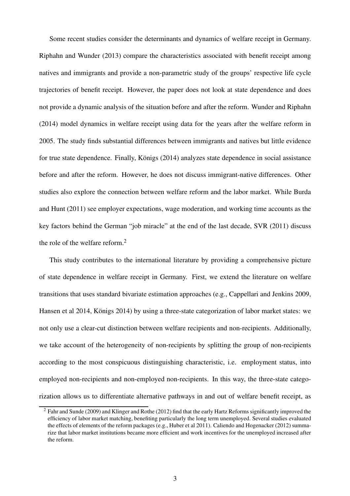Some recent studies consider the determinants and dynamics of welfare receipt in Germany. Riphahn and Wunder (2013) compare the characteristics associated with benefit receipt among natives and immigrants and provide a non-parametric study of the groups' respective life cycle trajectories of benefit receipt. However, the paper does not look at state dependence and does not provide a dynamic analysis of the situation before and after the reform. Wunder and Riphahn (2014) model dynamics in welfare receipt using data for the years after the welfare reform in 2005. The study finds substantial differences between immigrants and natives but little evidence for true state dependence. Finally, Königs (2014) analyzes state dependence in social assistance before and after the reform. However, he does not discuss immigrant-native differences. Other studies also explore the connection between welfare reform and the labor market. While Burda and Hunt (2011) see employer expectations, wage moderation, and working time accounts as the key factors behind the German "job miracle" at the end of the last decade, SVR (2011) discuss the role of the welfare reform.<sup>2</sup>

This study contributes to the international literature by providing a comprehensive picture of state dependence in welfare receipt in Germany. First, we extend the literature on welfare transitions that uses standard bivariate estimation approaches (e.g., Cappellari and Jenkins 2009, Hansen et al 2014, Königs 2014) by using a three-state categorization of labor market states: we not only use a clear-cut distinction between welfare recipients and non-recipients. Additionally, we take account of the heterogeneity of non-recipients by splitting the group of non-recipients according to the most conspicuous distinguishing characteristic, i.e. employment status, into employed non-recipients and non-employed non-recipients. In this way, the three-state categorization allows us to differentiate alternative pathways in and out of welfare benefit receipt, as

 $2$  Fahr and Sunde (2009) and Klinger and Rothe (2012) find that the early Hartz Reforms significantly improved the efficiency of labor market matching, benefiting particularly the long term unemployed. Several studies evaluated the effects of elements of the reform packages (e.g., Huber et al 2011). Caliendo and Hogenacker (2012) summarize that labor market institutions became more efficient and work incentives for the unemployed increased after the reform.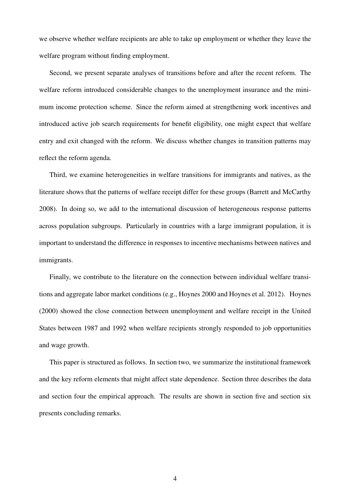we observe whether welfare recipients are able to take up employment or whether they leave the welfare program without finding employment.

Second, we present separate analyses of transitions before and after the recent reform. The welfare reform introduced considerable changes to the unemployment insurance and the minimum income protection scheme. Since the reform aimed at strengthening work incentives and introduced active job search requirements for benefit eligibility, one might expect that welfare entry and exit changed with the reform. We discuss whether changes in transition patterns may reflect the reform agenda.

Third, we examine heterogeneities in welfare transitions for immigrants and natives, as the literature shows that the patterns of welfare receipt differ for these groups (Barrett and McCarthy 2008). In doing so, we add to the international discussion of heterogeneous response patterns across population subgroups. Particularly in countries with a large immigrant population, it is important to understand the difference in responses to incentive mechanisms between natives and immigrants.

Finally, we contribute to the literature on the connection between individual welfare transitions and aggregate labor market conditions (e.g., Hoynes 2000 and Hoynes et al. 2012). Hoynes (2000) showed the close connection between unemployment and welfare receipt in the United States between 1987 and 1992 when welfare recipients strongly responded to job opportunities and wage growth.

This paper is structured as follows. In section two, we summarize the institutional framework and the key reform elements that might affect state dependence. Section three describes the data and section four the empirical approach. The results are shown in section five and section six presents concluding remarks.

4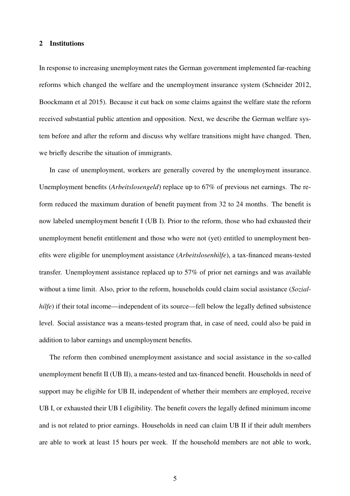#### 2 Institutions

In response to increasing unemployment rates the German government implemented far-reaching reforms which changed the welfare and the unemployment insurance system (Schneider 2012, Boockmann et al 2015). Because it cut back on some claims against the welfare state the reform received substantial public attention and opposition. Next, we describe the German welfare system before and after the reform and discuss why welfare transitions might have changed. Then, we briefly describe the situation of immigrants.

In case of unemployment, workers are generally covered by the unemployment insurance. Unemployment benefits (*Arbeitslosengeld*) replace up to 67% of previous net earnings. The reform reduced the maximum duration of benefit payment from 32 to 24 months. The benefit is now labeled unemployment benefit I (UB I). Prior to the reform, those who had exhausted their unemployment benefit entitlement and those who were not (yet) entitled to unemployment benefits were eligible for unemployment assistance (*Arbeitslosenhilfe*), a tax-financed means-tested transfer. Unemployment assistance replaced up to 57% of prior net earnings and was available without a time limit. Also, prior to the reform, households could claim social assistance (*Sozialhilfe*) if their total income—independent of its source—fell below the legally defined subsistence level. Social assistance was a means-tested program that, in case of need, could also be paid in addition to labor earnings and unemployment benefits.

The reform then combined unemployment assistance and social assistance in the so-called unemployment benefit II (UB II), a means-tested and tax-financed benefit. Households in need of support may be eligible for UB II, independent of whether their members are employed, receive UB I, or exhausted their UB I eligibility. The benefit covers the legally defined minimum income and is not related to prior earnings. Households in need can claim UB II if their adult members are able to work at least 15 hours per week. If the household members are not able to work,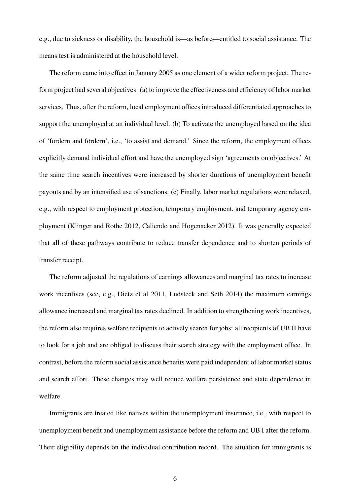e.g., due to sickness or disability, the household is—as before—entitled to social assistance. The means test is administered at the household level.

The reform came into effect in January 2005 as one element of a wider reform project. The reform project had several objectives: (a) to improve the effectiveness and efficiency of labor market services. Thus, after the reform, local employment offices introduced differentiated approaches to support the unemployed at an individual level. (b) To activate the unemployed based on the idea of 'fordern and fördern', i.e., 'to assist and demand.' Since the reform, the employment offices explicitly demand individual effort and have the unemployed sign 'agreements on objectives.' At the same time search incentives were increased by shorter durations of unemployment benefit payouts and by an intensified use of sanctions. (c) Finally, labor market regulations were relaxed, e.g., with respect to employment protection, temporary employment, and temporary agency employment (Klinger and Rothe 2012, Caliendo and Hogenacker 2012). It was generally expected that all of these pathways contribute to reduce transfer dependence and to shorten periods of transfer receipt.

The reform adjusted the regulations of earnings allowances and marginal tax rates to increase work incentives (see, e.g., Dietz et al 2011, Ludsteck and Seth 2014) the maximum earnings allowance increased and marginal tax rates declined. In addition to strengthening work incentives, the reform also requires welfare recipients to actively search for jobs: all recipients of UB II have to look for a job and are obliged to discuss their search strategy with the employment office. In contrast, before the reform social assistance benefits were paid independent of labor market status and search effort. These changes may well reduce welfare persistence and state dependence in welfare.

Immigrants are treated like natives within the unemployment insurance, i.e., with respect to unemployment benefit and unemployment assistance before the reform and UB I after the reform. Their eligibility depends on the individual contribution record. The situation for immigrants is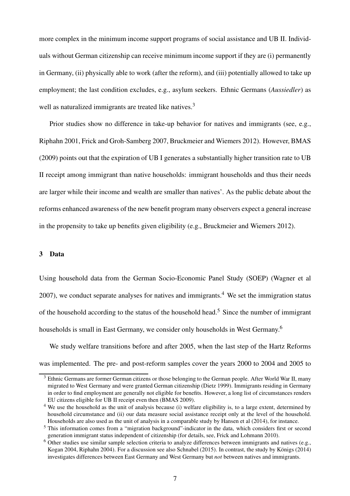more complex in the minimum income support programs of social assistance and UB II. Individuals without German citizenship can receive minimum income support if they are (i) permanently in Germany, (ii) physically able to work (after the reform), and (iii) potentially allowed to take up employment; the last condition excludes, e.g., asylum seekers. Ethnic Germans (*Aussiedler*) as well as naturalized immigrants are treated like natives.<sup>3</sup>

Prior studies show no difference in take-up behavior for natives and immigrants (see, e.g., Riphahn 2001, Frick and Groh-Samberg 2007, Bruckmeier and Wiemers 2012). However, BMAS (2009) points out that the expiration of UB I generates a substantially higher transition rate to UB II receipt among immigrant than native households: immigrant households and thus their needs are larger while their income and wealth are smaller than natives'. As the public debate about the reforms enhanced awareness of the new benefit program many observers expect a general increase in the propensity to take up benefits given eligibility (e.g., Bruckmeier and Wiemers 2012).

#### 3 Data

Using household data from the German Socio-Economic Panel Study (SOEP) (Wagner et al  $2007$ ), we conduct separate analyses for natives and immigrants.<sup>4</sup> We set the immigration status of the household according to the status of the household head.<sup>5</sup> Since the number of immigrant households is small in East Germany, we consider only households in West Germany.<sup>6</sup>

We study welfare transitions before and after 2005, when the last step of the Hartz Reforms was implemented. The pre- and post-reform samples cover the years 2000 to 2004 and 2005 to

<sup>&</sup>lt;sup>3</sup> Ethnic Germans are former German citizens or those belonging to the German people. After World War II, many migrated to West Germany and were granted German citizenship (Dietz 1999). Immigrants residing in Germany in order to find employment are generally not eligible for benefits. However, a long list of circumstances renders EU citizens eligible for UB II receipt even then (BMAS 2009).

<sup>&</sup>lt;sup>4</sup> We use the household as the unit of analysis because (i) welfare eligibility is, to a large extent, determined by household circumstance and (ii) our data measure social assistance receipt only at the level of the household. Households are also used as the unit of analysis in a comparable study by Hansen et al (2014), for instance.

<sup>5</sup> This information comes from a "migration background"-indicator in the data, which considers first or second generation immigrant status independent of citizenship (for details, see, Frick and Lohmann 2010).

<sup>&</sup>lt;sup>6</sup> Other studies use similar sample selection criteria to analyze differences between immigrants and natives (e.g., Kogan 2004, Riphahn 2004). For a discussion see also Schnabel (2015). In contrast, the study by Königs (2014) investigates differences between East Germany and West Germany but *not* between natives and immigrants.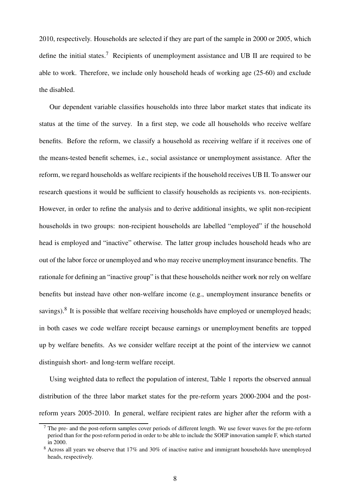2010, respectively. Households are selected if they are part of the sample in 2000 or 2005, which define the initial states.<sup>7</sup> Recipients of unemployment assistance and UB II are required to be able to work. Therefore, we include only household heads of working age (25-60) and exclude the disabled.

Our dependent variable classifies households into three labor market states that indicate its status at the time of the survey. In a first step, we code all households who receive welfare benefits. Before the reform, we classify a household as receiving welfare if it receives one of the means-tested benefit schemes, i.e., social assistance or unemployment assistance. After the reform, we regard households as welfare recipients if the household receives UB II. To answer our research questions it would be sufficient to classify households as recipients vs. non-recipients. However, in order to refine the analysis and to derive additional insights, we split non-recipient households in two groups: non-recipient households are labelled "employed" if the household head is employed and "inactive" otherwise. The latter group includes household heads who are out of the labor force or unemployed and who may receive unemployment insurance benefits. The rationale for defining an "inactive group" is that these households neither work nor rely on welfare benefits but instead have other non-welfare income (e.g., unemployment insurance benefits or savings).<sup>8</sup> It is possible that welfare receiving households have employed or unemployed heads; in both cases we code welfare receipt because earnings or unemployment benefits are topped up by welfare benefits. As we consider welfare receipt at the point of the interview we cannot distinguish short- and long-term welfare receipt.

Using weighted data to reflect the population of interest, Table 1 reports the observed annual distribution of the three labor market states for the pre-reform years 2000-2004 and the postreform years 2005-2010. In general, welfare recipient rates are higher after the reform with a

 $<sup>7</sup>$  The pre- and the post-reform samples cover periods of different length. We use fewer waves for the pre-reform</sup> period than for the post-reform period in order to be able to include the SOEP innovation sample F, which started in 2000.

<sup>&</sup>lt;sup>8</sup> Across all years we observe that 17% and 30% of inactive native and immigrant households have unemployed heads, respectively.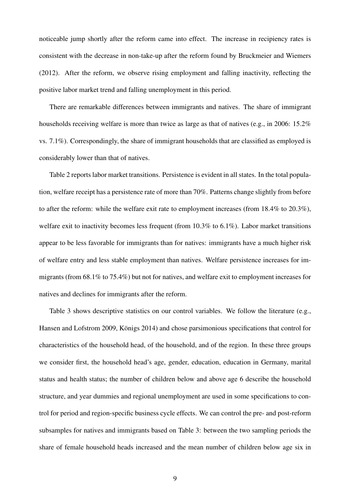noticeable jump shortly after the reform came into effect. The increase in recipiency rates is consistent with the decrease in non-take-up after the reform found by Bruckmeier and Wiemers (2012). After the reform, we observe rising employment and falling inactivity, reflecting the positive labor market trend and falling unemployment in this period.

There are remarkable differences between immigrants and natives. The share of immigrant households receiving welfare is more than twice as large as that of natives (e.g., in 2006: 15.2% vs. 7.1%). Correspondingly, the share of immigrant households that are classified as employed is considerably lower than that of natives.

Table 2 reports labor market transitions. Persistence is evident in all states. In the total population, welfare receipt has a persistence rate of more than 70%. Patterns change slightly from before to after the reform: while the welfare exit rate to employment increases (from 18.4% to 20.3%), welfare exit to inactivity becomes less frequent (from 10.3% to 6.1%). Labor market transitions appear to be less favorable for immigrants than for natives: immigrants have a much higher risk of welfare entry and less stable employment than natives. Welfare persistence increases for immigrants (from 68.1% to 75.4%) but not for natives, and welfare exit to employment increases for natives and declines for immigrants after the reform.

Table 3 shows descriptive statistics on our control variables. We follow the literature (e.g., Hansen and Lofstrom 2009, Königs 2014) and chose parsimonious specifications that control for characteristics of the household head, of the household, and of the region. In these three groups we consider first, the household head's age, gender, education, education in Germany, marital status and health status; the number of children below and above age 6 describe the household structure, and year dummies and regional unemployment are used in some specifications to control for period and region-specific business cycle effects. We can control the pre- and post-reform subsamples for natives and immigrants based on Table 3: between the two sampling periods the share of female household heads increased and the mean number of children below age six in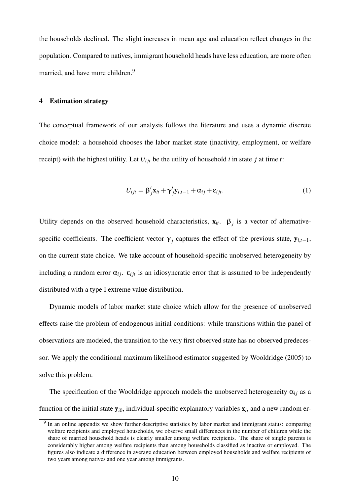the households declined. The slight increases in mean age and education reflect changes in the population. Compared to natives, immigrant household heads have less education, are more often married, and have more children.<sup>9</sup>

#### 4 Estimation strategy

The conceptual framework of our analysis follows the literature and uses a dynamic discrete choice model: a household chooses the labor market state (inactivity, employment, or welfare receipt) with the highest utility. Let  $U_{ijt}$  be the utility of household *i* in state *j* at time *t*:

$$
U_{ijt} = \beta'_j \mathbf{x}_{it} + \gamma'_j \mathbf{y}_{i,t-1} + \alpha_{ij} + \varepsilon_{ijt}.
$$
 (1)

Utility depends on the observed household characteristics,  $\mathbf{x}_{it}$ .  $\boldsymbol{\beta}_j$  is a vector of alternativespecific coefficients. The coefficient vector  $\gamma_j$  captures the effect of the previous state,  $y_{i,t-1}$ , on the current state choice. We take account of household-specific unobserved heterogeneity by including a random error  $\alpha_{ij}$ .  $\varepsilon_{ijt}$  is an idiosyncratic error that is assumed to be independently distributed with a type I extreme value distribution.

Dynamic models of labor market state choice which allow for the presence of unobserved effects raise the problem of endogenous initial conditions: while transitions within the panel of observations are modeled, the transition to the very first observed state has no observed predecessor. We apply the conditional maximum likelihood estimator suggested by Wooldridge (2005) to solve this problem.

The specification of the Wooldridge approach models the unobserved heterogeneity  $\alpha_{ij}$  as a function of the initial state  $y_{i0}$ , individual-specific explanatory variables  $x_i$ , and a new random er-

<sup>&</sup>lt;sup>9</sup> In an online appendix we show further descriptive statistics by labor market and immigrant status: comparing welfare recipients and employed households, we observe small differences in the number of children while the share of married household heads is clearly smaller among welfare recipients. The share of single parents is considerably higher among welfare recipients than among households classified as inactive or employed. The figures also indicate a difference in average education between employed households and welfare recipients of two years among natives and one year among immigrants.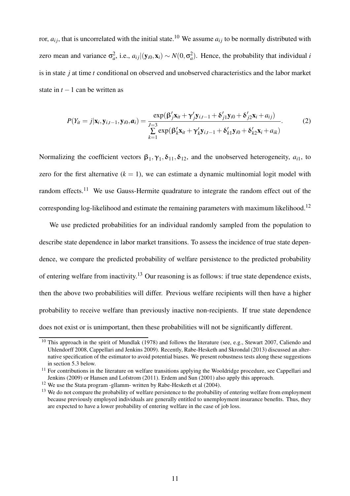ror,  $a_{ij}$ , that is uncorrelated with the initial state.<sup>10</sup> We assume  $a_{ij}$  to be normally distributed with zero mean and variance  $\sigma_a^2$ , i.e.,  $a_{ij} | (\mathbf{y}_{i0}, \mathbf{x}_i) \sim N(0, \sigma_a^2)$ . Hence, the probability that individual *i* is in state *j* at time *t* conditional on observed and unobserved characteristics and the labor market state in  $t - 1$  can be written as

$$
P(Y_{it}=j|\mathbf{x}_i,\mathbf{y}_{i,t-1},\mathbf{y}_{i0},\boldsymbol{a}_i)=\frac{\exp(\beta'_j\mathbf{x}_{it}+\boldsymbol{\gamma}'_j\mathbf{y}_{i,t-1}+\boldsymbol{\delta}'_{j1}\mathbf{y}_{i0}+\boldsymbol{\delta}'_{j2}\mathbf{x}_i+a_{ij})}{\sum\limits_{k=1}^{J=3}\exp(\beta'_k\mathbf{x}_{it}+\boldsymbol{\gamma}'_k\mathbf{y}_{i,t-1}+\boldsymbol{\delta}'_{k1}\mathbf{y}_{i0}+\boldsymbol{\delta}'_{k2}\mathbf{x}_i+a_{ik})}.
$$
 (2)

Normalizing the coefficient vectors  $\beta_1, \gamma_1, \delta_{11}, \delta_{12}$ , and the unobserved heterogeneity,  $a_{i1}$ , to zero for the first alternative  $(k = 1)$ , we can estimate a dynamic multinomial logit model with random effects.<sup>11</sup> We use Gauss-Hermite quadrature to integrate the random effect out of the corresponding log-likelihood and estimate the remaining parameters with maximum likelihood.<sup>12</sup>

We use predicted probabilities for an individual randomly sampled from the population to describe state dependence in labor market transitions. To assess the incidence of true state dependence, we compare the predicted probability of welfare persistence to the predicted probability of entering welfare from inactivity.<sup>13</sup> Our reasoning is as follows: if true state dependence exists, then the above two probabilities will differ. Previous welfare recipients will then have a higher probability to receive welfare than previously inactive non-recipients. If true state dependence does not exist or is unimportant, then these probabilities will not be significantly different.

 $10$  This approach in the spirit of Mundlak (1978) and follows the literature (see, e.g., Stewart 2007, Caliendo and Uhlendorff 2008, Cappellari and Jenkins 2009). Recently, Rabe-Hesketh and Skrondal (2013) discussed an alternative specification of the estimator to avoid potential biases. We present robustness tests along these suggestions in section 5.3 below.

 $11$  For contributions in the literature on welfare transitions applying the Wooldridge procedure, see Cappellari and Jenkins (2009) or Hansen and Lofstrom (2011). Erdem and Sun (2001) also apply this approach.

<sup>&</sup>lt;sup>12</sup> We use the Stata program -gllamm- written by Rabe-Hesketh et al (2004).

<sup>&</sup>lt;sup>13</sup> We do not compare the probability of welfare persistence to the probability of entering welfare from employment because previously employed individuals are generally entitled to unemployment insurance benefits. Thus, they are expected to have a lower probability of entering welfare in the case of job loss.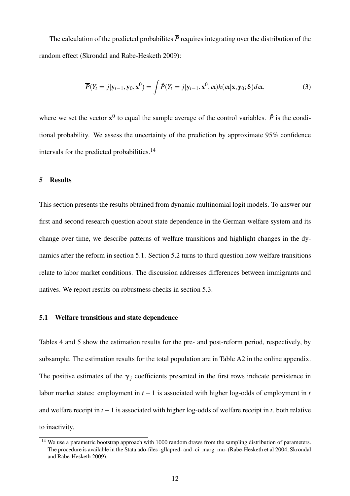The calculation of the predicted probabilites  $\overline{P}$  requires integrating over the distribution of the random effect (Skrondal and Rabe-Hesketh 2009):

$$
\overline{P}(Y_t = j | \mathbf{y}_{t-1}, \mathbf{y}_0, \mathbf{x}^0) = \int \hat{P}(Y_t = j | \mathbf{y}_{t-1}, \mathbf{x}^0, \alpha) h(\alpha | \mathbf{x}, \mathbf{y}_0; \delta) d\alpha,
$$
\n(3)

where we set the vector  $x^0$  to equal the sample average of the control variables.  $\hat{P}$  is the conditional probability. We assess the uncertainty of the prediction by approximate 95% confidence intervals for the predicted probabilities.<sup>14</sup>

#### 5 Results

This section presents the results obtained from dynamic multinomial logit models. To answer our first and second research question about state dependence in the German welfare system and its change over time, we describe patterns of welfare transitions and highlight changes in the dynamics after the reform in section 5.1. Section 5.2 turns to third question how welfare transitions relate to labor market conditions. The discussion addresses differences between immigrants and natives. We report results on robustness checks in section 5.3.

#### 5.1 Welfare transitions and state dependence

Tables 4 and 5 show the estimation results for the pre- and post-reform period, respectively, by subsample. The estimation results for the total population are in Table A2 in the online appendix. The positive estimates of the  $\gamma_j$  coefficients presented in the first rows indicate persistence in labor market states: employment in *t* −1 is associated with higher log-odds of employment in *t* and welfare receipt in *t* −1 is associated with higher log-odds of welfare receipt in *t*, both relative to inactivity.

<sup>&</sup>lt;sup>14</sup> We use a parametric bootstrap approach with 1000 random draws from the sampling distribution of parameters. The procedure is available in the Stata ado-files -gllapred- and -ci\_marg\_mu- (Rabe-Hesketh et al 2004, Skrondal and Rabe-Hesketh 2009).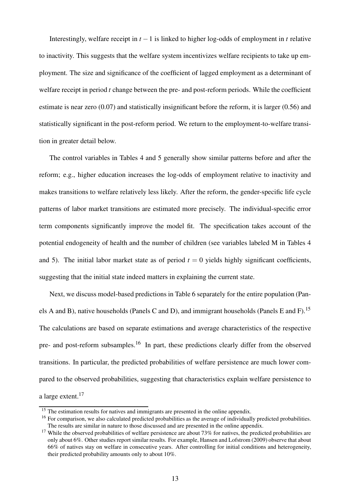Interestingly, welfare receipt in *t* −1 is linked to higher log-odds of employment in *t* relative to inactivity. This suggests that the welfare system incentivizes welfare recipients to take up employment. The size and significance of the coefficient of lagged employment as a determinant of welfare receipt in period *t* change between the pre- and post-reform periods. While the coefficient estimate is near zero (0.07) and statistically insignificant before the reform, it is larger (0.56) and statistically significant in the post-reform period. We return to the employment-to-welfare transition in greater detail below.

The control variables in Tables 4 and 5 generally show similar patterns before and after the reform; e.g., higher education increases the log-odds of employment relative to inactivity and makes transitions to welfare relatively less likely. After the reform, the gender-specific life cycle patterns of labor market transitions are estimated more precisely. The individual-specific error term components significantly improve the model fit. The specification takes account of the potential endogeneity of health and the number of children (see variables labeled M in Tables 4 and 5). The initial labor market state as of period  $t = 0$  yields highly significant coefficients, suggesting that the initial state indeed matters in explaining the current state.

Next, we discuss model-based predictions in Table 6 separately for the entire population (Panels A and B), native households (Panels C and D), and immigrant households (Panels E and F).<sup>15</sup> The calculations are based on separate estimations and average characteristics of the respective pre- and post-reform subsamples.<sup>16</sup> In part, these predictions clearly differ from the observed transitions. In particular, the predicted probabilities of welfare persistence are much lower compared to the observed probabilities, suggesting that characteristics explain welfare persistence to a large extent.<sup>17</sup>

<sup>&</sup>lt;sup>15</sup> The estimation results for natives and immigrants are presented in the online appendix.

 $16$  For comparison, we also calculated predicted probabilities as the average of individually predicted probabilities. The results are similar in nature to those discussed and are presented in the online appendix.

 $17$  While the observed probabilities of welfare persistence are about 73% for natives, the predicted probabilities are only about 6%. Other studies report similar results. For example, Hansen and Lofstrom (2009) observe that about 66% of natives stay on welfare in consecutive years. After controlling for initial conditions and heterogeneity, their predicted probability amounts only to about 10%.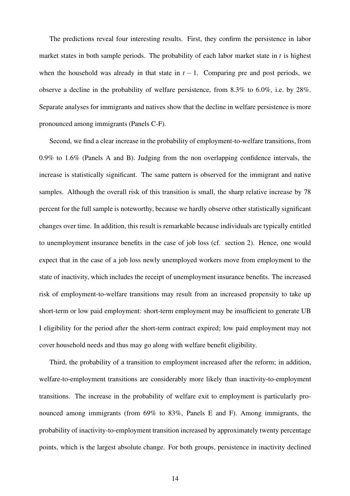The predictions reveal four interesting results. First, they confirm the persistence in labor market states in both sample periods. The probability of each labor market state in *t* is highest when the household was already in that state in  $t - 1$ . Comparing pre and post periods, we observe a decline in the probability of welfare persistence, from 8.3% to 6.0%, i.e. by 28%. Separate analyses for immigrants and natives show that the decline in welfare persistence is more pronounced among immigrants (Panels C-F).

Second, we find a clear increase in the probability of employment-to-welfare transitions, from 0.9% to 1.6% (Panels A and B). Judging from the non overlapping confidence intervals, the increase is statistically significant. The same pattern is observed for the immigrant and native samples. Although the overall risk of this transition is small, the sharp relative increase by 78 percent for the full sample is noteworthy, because we hardly observe other statistically significant changes over time. In addition, this result is remarkable because individuals are typically entitled to unemployment insurance benefits in the case of job loss (cf. section 2). Hence, one would expect that in the case of a job loss newly unemployed workers move from employment to the state of inactivity, which includes the receipt of unemployment insurance benefits. The increased risk of employment-to-welfare transitions may result from an increased propensity to take up short-term or low paid employment: short-term employment may be insufficient to generate UB I eligibility for the period after the short-term contract expired; low paid employment may not cover household needs and thus may go along with welfare benefit eligibility.

Third, the probability of a transition to employment increased after the reform; in addition, welfare-to-employment transitions are considerably more likely than inactivity-to-employment transitions. The increase in the probability of welfare exit to employment is particularly pronounced among immigrants (from 69% to 83%, Panels E and F). Among immigrants, the probability of inactivity-to-employment transition increased by approximately twenty percentage points, which is the largest absolute change. For both groups, persistence in inactivity declined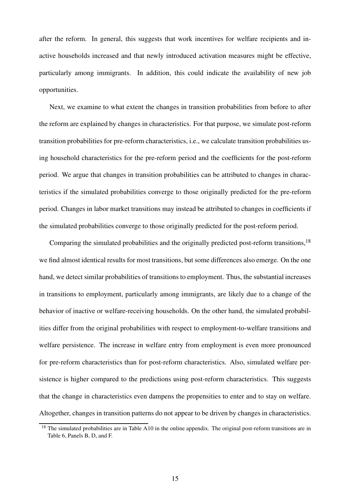after the reform. In general, this suggests that work incentives for welfare recipients and inactive households increased and that newly introduced activation measures might be effective, particularly among immigrants. In addition, this could indicate the availability of new job opportunities.

Next, we examine to what extent the changes in transition probabilities from before to after the reform are explained by changes in characteristics. For that purpose, we simulate post-reform transition probabilities for pre-reform characteristics, i.e., we calculate transition probabilities using household characteristics for the pre-reform period and the coefficients for the post-reform period. We argue that changes in transition probabilities can be attributed to changes in characteristics if the simulated probabilities converge to those originally predicted for the pre-reform period. Changes in labor market transitions may instead be attributed to changes in coefficients if the simulated probabilities converge to those originally predicted for the post-reform period.

Comparing the simulated probabilities and the originally predicted post-reform transitions, <sup>18</sup> we find almost identical results for most transitions, but some differences also emerge. On the one hand, we detect similar probabilities of transitions to employment. Thus, the substantial increases in transitions to employment, particularly among immigrants, are likely due to a change of the behavior of inactive or welfare-receiving households. On the other hand, the simulated probabilities differ from the original probabilities with respect to employment-to-welfare transitions and welfare persistence. The increase in welfare entry from employment is even more pronounced for pre-reform characteristics than for post-reform characteristics. Also, simulated welfare persistence is higher compared to the predictions using post-reform characteristics. This suggests that the change in characteristics even dampens the propensities to enter and to stay on welfare. Altogether, changes in transition patterns do not appear to be driven by changes in characteristics.

<sup>&</sup>lt;sup>18</sup> The simulated probabilities are in Table A10 in the online appendix. The original post-reform transitions are in Table 6, Panels B, D, and F.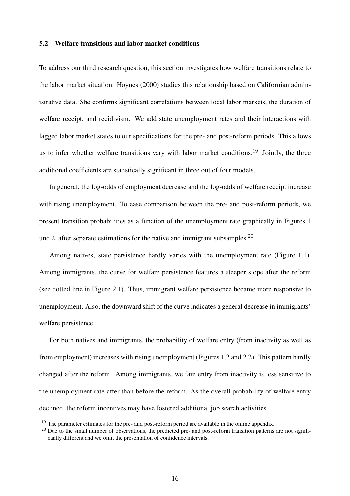#### 5.2 Welfare transitions and labor market conditions

To address our third research question, this section investigates how welfare transitions relate to the labor market situation. Hoynes (2000) studies this relationship based on Californian administrative data. She confirms significant correlations between local labor markets, the duration of welfare receipt, and recidivism. We add state unemployment rates and their interactions with lagged labor market states to our specifications for the pre- and post-reform periods. This allows us to infer whether welfare transitions vary with labor market conditions.<sup>19</sup> Jointly, the three additional coefficients are statistically significant in three out of four models.

In general, the log-odds of employment decrease and the log-odds of welfare receipt increase with rising unemployment. To ease comparison between the pre- and post-reform periods, we present transition probabilities as a function of the unemployment rate graphically in Figures 1 und 2, after separate estimations for the native and immigrant subsamples.<sup>20</sup>

Among natives, state persistence hardly varies with the unemployment rate (Figure 1.1). Among immigrants, the curve for welfare persistence features a steeper slope after the reform (see dotted line in Figure 2.1). Thus, immigrant welfare persistence became more responsive to unemployment. Also, the downward shift of the curve indicates a general decrease in immigrants' welfare persistence.

For both natives and immigrants, the probability of welfare entry (from inactivity as well as from employment) increases with rising unemployment (Figures 1.2 and 2.2). This pattern hardly changed after the reform. Among immigrants, welfare entry from inactivity is less sensitive to the unemployment rate after than before the reform. As the overall probability of welfare entry declined, the reform incentives may have fostered additional job search activities.

<sup>&</sup>lt;sup>19</sup> The parameter estimates for the pre- and post-reform period are available in the online appendix.

 $^{20}$  Due to the small number of observations, the predicted pre- and post-reform transition patterns are not significantly different and we omit the presentation of confidence intervals.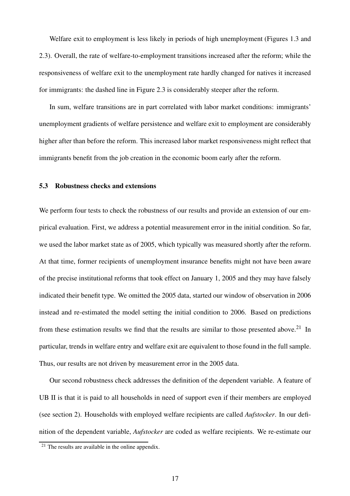Welfare exit to employment is less likely in periods of high unemployment (Figures 1.3 and 2.3). Overall, the rate of welfare-to-employment transitions increased after the reform; while the responsiveness of welfare exit to the unemployment rate hardly changed for natives it increased for immigrants: the dashed line in Figure 2.3 is considerably steeper after the reform.

In sum, welfare transitions are in part correlated with labor market conditions: immigrants' unemployment gradients of welfare persistence and welfare exit to employment are considerably higher after than before the reform. This increased labor market responsiveness might reflect that immigrants benefit from the job creation in the economic boom early after the reform.

#### 5.3 Robustness checks and extensions

We perform four tests to check the robustness of our results and provide an extension of our empirical evaluation. First, we address a potential measurement error in the initial condition. So far, we used the labor market state as of 2005, which typically was measured shortly after the reform. At that time, former recipients of unemployment insurance benefits might not have been aware of the precise institutional reforms that took effect on January 1, 2005 and they may have falsely indicated their benefit type. We omitted the 2005 data, started our window of observation in 2006 instead and re-estimated the model setting the initial condition to 2006. Based on predictions from these estimation results we find that the results are similar to those presented above.<sup>21</sup> In particular, trends in welfare entry and welfare exit are equivalent to those found in the full sample. Thus, our results are not driven by measurement error in the 2005 data.

Our second robustness check addresses the definition of the dependent variable. A feature of UB II is that it is paid to all households in need of support even if their members are employed (see section 2). Households with employed welfare recipients are called *Aufstocker*. In our definition of the dependent variable, *Aufstocker* are coded as welfare recipients. We re-estimate our

 $21$  The results are available in the online appendix.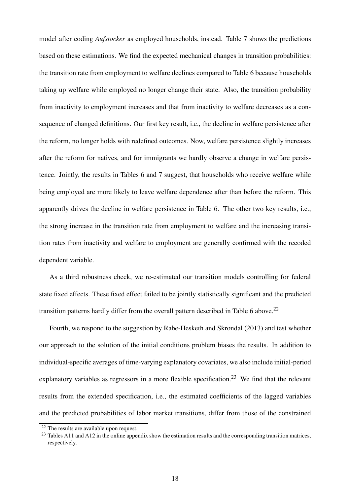model after coding *Aufstocker* as employed households, instead. Table 7 shows the predictions based on these estimations. We find the expected mechanical changes in transition probabilities: the transition rate from employment to welfare declines compared to Table 6 because households taking up welfare while employed no longer change their state. Also, the transition probability from inactivity to employment increases and that from inactivity to welfare decreases as a consequence of changed definitions. Our first key result, i.e., the decline in welfare persistence after the reform, no longer holds with redefined outcomes. Now, welfare persistence slightly increases after the reform for natives, and for immigrants we hardly observe a change in welfare persistence. Jointly, the results in Tables 6 and 7 suggest, that households who receive welfare while being employed are more likely to leave welfare dependence after than before the reform. This apparently drives the decline in welfare persistence in Table 6. The other two key results, i.e., the strong increase in the transition rate from employment to welfare and the increasing transition rates from inactivity and welfare to employment are generally confirmed with the recoded dependent variable.

As a third robustness check, we re-estimated our transition models controlling for federal state fixed effects. These fixed effect failed to be jointly statistically significant and the predicted transition patterns hardly differ from the overall pattern described in Table 6 above.<sup>22</sup>

Fourth, we respond to the suggestion by Rabe-Hesketh and Skrondal (2013) and test whether our approach to the solution of the initial conditions problem biases the results. In addition to individual-specific averages of time-varying explanatory covariates, we also include initial-period explanatory variables as regressors in a more flexible specification.<sup>23</sup> We find that the relevant results from the extended specification, i.e., the estimated coefficients of the lagged variables and the predicted probabilities of labor market transitions, differ from those of the constrained

<sup>22</sup> The results are available upon request.

<sup>&</sup>lt;sup>23</sup> Tables A11 and A12 in the online appendix show the estimation results and the corresponding transition matrices, respectively.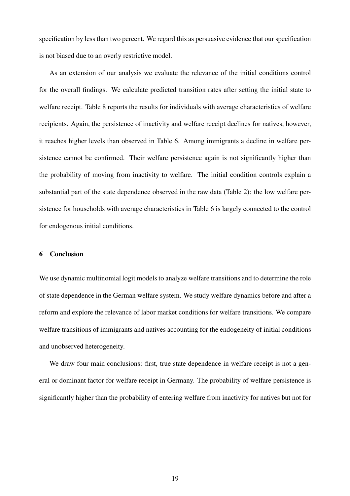specification by less than two percent. We regard this as persuasive evidence that our specification is not biased due to an overly restrictive model.

As an extension of our analysis we evaluate the relevance of the initial conditions control for the overall findings. We calculate predicted transition rates after setting the initial state to welfare receipt. Table 8 reports the results for individuals with average characteristics of welfare recipients. Again, the persistence of inactivity and welfare receipt declines for natives, however, it reaches higher levels than observed in Table 6. Among immigrants a decline in welfare persistence cannot be confirmed. Their welfare persistence again is not significantly higher than the probability of moving from inactivity to welfare. The initial condition controls explain a substantial part of the state dependence observed in the raw data (Table 2): the low welfare persistence for households with average characteristics in Table 6 is largely connected to the control for endogenous initial conditions.

#### 6 Conclusion

We use dynamic multinomial logit models to analyze welfare transitions and to determine the role of state dependence in the German welfare system. We study welfare dynamics before and after a reform and explore the relevance of labor market conditions for welfare transitions. We compare welfare transitions of immigrants and natives accounting for the endogeneity of initial conditions and unobserved heterogeneity.

We draw four main conclusions: first, true state dependence in welfare receipt is not a general or dominant factor for welfare receipt in Germany. The probability of welfare persistence is significantly higher than the probability of entering welfare from inactivity for natives but not for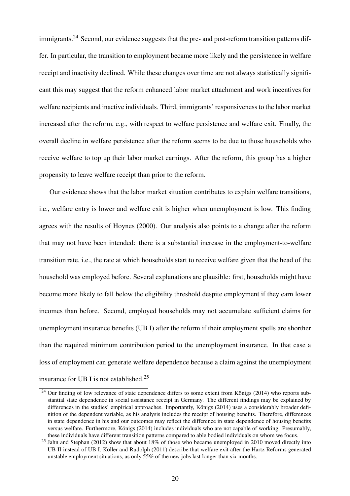immigrants.<sup>24</sup> Second, our evidence suggests that the pre- and post-reform transition patterns differ. In particular, the transition to employment became more likely and the persistence in welfare receipt and inactivity declined. While these changes over time are not always statistically significant this may suggest that the reform enhanced labor market attachment and work incentives for welfare recipients and inactive individuals. Third, immigrants' responsiveness to the labor market increased after the reform, e.g., with respect to welfare persistence and welfare exit. Finally, the overall decline in welfare persistence after the reform seems to be due to those households who receive welfare to top up their labor market earnings. After the reform, this group has a higher propensity to leave welfare receipt than prior to the reform.

Our evidence shows that the labor market situation contributes to explain welfare transitions, i.e., welfare entry is lower and welfare exit is higher when unemployment is low. This finding agrees with the results of Hoynes (2000). Our analysis also points to a change after the reform that may not have been intended: there is a substantial increase in the employment-to-welfare transition rate, i.e., the rate at which households start to receive welfare given that the head of the household was employed before. Several explanations are plausible: first, households might have become more likely to fall below the eligibility threshold despite employment if they earn lower incomes than before. Second, employed households may not accumulate sufficient claims for unemployment insurance benefits (UB I) after the reform if their employment spells are shorther than the required minimum contribution period to the unemployment insurance. In that case a loss of employment can generate welfare dependence because a claim against the unemployment insurance for UB I is not established.<sup>25</sup>

<sup>&</sup>lt;sup>24</sup> Our finding of low relevance of state dependence differs to some extent from Königs (2014) who reports substantial state dependence in social assistance receipt in Germany. The different findings may be explained by differences in the studies' empirical approaches. Importantly, Königs (2014) uses a considerably broader definition of the dependent variable, as his analysis includes the receipt of housing benefits. Therefore, differences in state dependence in his and our outcomes may reflect the difference in state dependence of housing benefits versus welfare. Furthermore, Königs (2014) includes individuals who are not capable of working. Presumably, these individuals have different transition patterns compared to able bodied individuals on whom we focus.

<sup>&</sup>lt;sup>25</sup> Jahn and Stephan (2012) show that about 18% of those who became unemployed in 2010 moved directly into UB II instead of UB I. Koller and Rudolph (2011) describe that welfare exit after the Hartz Reforms generated unstable employment situations, as only  $55\%$  of the new jobs last longer than six months.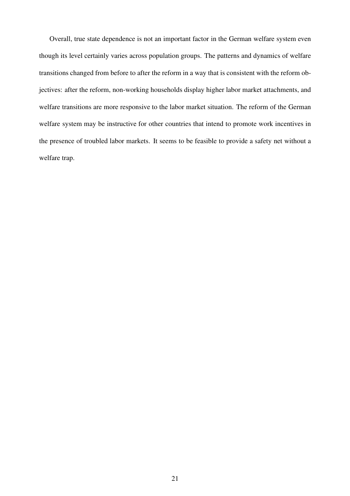Overall, true state dependence is not an important factor in the German welfare system even though its level certainly varies across population groups. The patterns and dynamics of welfare transitions changed from before to after the reform in a way that is consistent with the reform objectives: after the reform, non-working households display higher labor market attachments, and welfare transitions are more responsive to the labor market situation. The reform of the German welfare system may be instructive for other countries that intend to promote work incentives in the presence of troubled labor markets. It seems to be feasible to provide a safety net without a welfare trap.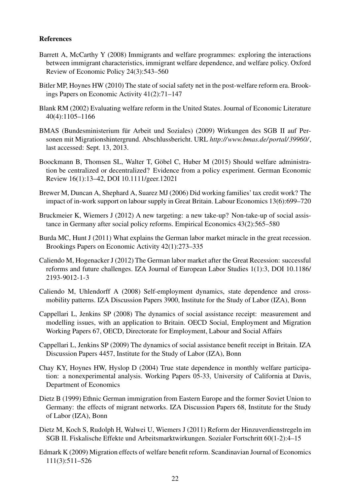#### References

- Barrett A, McCarthy Y (2008) Immigrants and welfare programmes: exploring the interactions between immigrant characteristics, immigrant welfare dependence, and welfare policy. Oxford Review of Economic Policy 24(3):543–560
- Bitler MP, Hoynes HW (2010) The state of social safety net in the post-welfare reform era. Brookings Papers on Economic Activity 41(2):71–147
- Blank RM (2002) Evaluating welfare reform in the United States. Journal of Economic Literature 40(4):1105–1166
- BMAS (Bundesministerium für Arbeit und Soziales) (2009) Wirkungen des SGB II auf Personen mit Migrationshintergrund. Abschlussbericht. URL *http://www.bmas.de/portal/39960/*, last accessed: Sept. 13, 2013.
- Boockmann B, Thomsen SL, Walter T, Göbel C, Huber M (2015) Should welfare administration be centralized or decentralized? Evidence from a policy experiment. German Economic Review 16(1):13–42, DOI 10.1111/geer.12021
- Brewer M, Duncan A, Shephard A, Suarez MJ (2006) Did working families' tax credit work? The impact of in-work support on labour supply in Great Britain. Labour Economics 13(6):699–720
- Bruckmeier K, Wiemers J (2012) A new targeting: a new take-up? Non-take-up of social assistance in Germany after social policy reforms. Empirical Economics 43(2):565–580
- Burda MC, Hunt J (2011) What explains the German labor market miracle in the great recession. Brookings Papers on Economic Activity 42(1):273–335
- Caliendo M, Hogenacker J (2012) The German labor market after the Great Recession: successful reforms and future challenges. IZA Journal of European Labor Studies 1(1):3, DOI 10.1186/ 2193-9012-1-3
- Caliendo M, Uhlendorff A (2008) Self-employment dynamics, state dependence and crossmobility patterns. IZA Discussion Papers 3900, Institute for the Study of Labor (IZA), Bonn
- Cappellari L, Jenkins SP (2008) The dynamics of social assistance receipt: measurement and modelling issues, with an application to Britain. OECD Social, Employment and Migration Working Papers 67, OECD, Directorate for Employment, Labour and Social Affairs
- Cappellari L, Jenkins SP (2009) The dynamics of social assistance benefit receipt in Britain. IZA Discussion Papers 4457, Institute for the Study of Labor (IZA), Bonn
- Chay KY, Hoynes HW, Hyslop D (2004) True state dependence in monthly welfare participation: a nonexperimental analysis. Working Papers 05-33, University of California at Davis, Department of Economics
- Dietz B (1999) Ethnic German immigration from Eastern Europe and the former Soviet Union to Germany: the effects of migrant networks. IZA Discussion Papers 68, Institute for the Study of Labor (IZA), Bonn
- Dietz M, Koch S, Rudolph H, Walwei U, Wiemers J (2011) Reform der Hinzuverdienstregeln im SGB II. Fiskalische Effekte und Arbeitsmarktwirkungen. Sozialer Fortschritt 60(1-2):4–15
- Edmark K (2009) Migration effects of welfare benefit reform. Scandinavian Journal of Economics 111(3):511–526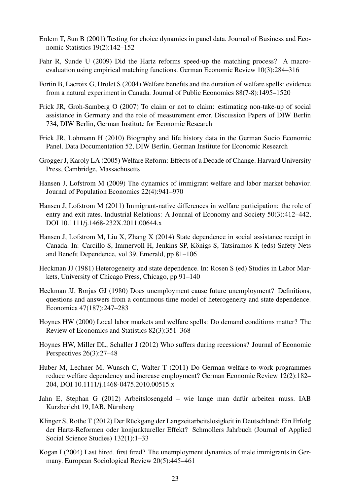- Erdem T, Sun B (2001) Testing for choice dynamics in panel data. Journal of Business and Economic Statistics 19(2):142–152
- Fahr R, Sunde U (2009) Did the Hartz reforms speed-up the matching process? A macroevaluation using empirical matching functions. German Economic Review 10(3):284–316
- Fortin B, Lacroix G, Drolet S (2004) Welfare benefits and the duration of welfare spells: evidence from a natural experiment in Canada. Journal of Public Economics 88(7-8):1495–1520
- Frick JR, Groh-Samberg O (2007) To claim or not to claim: estimating non-take-up of social assistance in Germany and the role of measurement error. Discussion Papers of DIW Berlin 734, DIW Berlin, German Institute for Economic Research
- Frick JR, Lohmann H (2010) Biography and life history data in the German Socio Economic Panel. Data Documentation 52, DIW Berlin, German Institute for Economic Research
- Grogger J, Karoly LA (2005) Welfare Reform: Effects of a Decade of Change. Harvard University Press, Cambridge, Massachusetts
- Hansen J, Lofstrom M (2009) The dynamics of immigrant welfare and labor market behavior. Journal of Population Economics 22(4):941–970
- Hansen J, Lofstrom M (2011) Immigrant-native differences in welfare participation: the role of entry and exit rates. Industrial Relations: A Journal of Economy and Society 50(3):412–442, DOI 10.1111/j.1468-232X.2011.00644.x
- Hansen J, Lofstrom M, Liu X, Zhang X (2014) State dependence in social assistance receipt in Canada. In: Carcillo S, Immervoll H, Jenkins SP, Königs S, Tatsiramos K (eds) Safety Nets and Benefit Dependence, vol 39, Emerald, pp 81–106
- Heckman JJ (1981) Heterogeneity and state dependence. In: Rosen S (ed) Studies in Labor Markets, University of Chicago Press, Chicago, pp 91–140
- Heckman JJ, Borjas GJ (1980) Does unemployment cause future unemployment? Definitions, questions and answers from a continuous time model of heterogeneity and state dependence. Economica 47(187):247–283
- Hoynes HW (2000) Local labor markets and welfare spells: Do demand conditions matter? The Review of Economics and Statistics 82(3):351–368
- Hoynes HW, Miller DL, Schaller J (2012) Who suffers during recessions? Journal of Economic Perspectives 26(3):27–48
- Huber M, Lechner M, Wunsch C, Walter T (2011) Do German welfare-to-work programmes reduce welfare dependency and increase employment? German Economic Review 12(2):182– 204, DOI 10.1111/j.1468-0475.2010.00515.x
- Jahn E, Stephan G (2012) Arbeitslosengeld wie lange man dafür arbeiten muss. IAB Kurzbericht 19, IAB, Nürnberg
- Klinger S, Rothe T (2012) Der Rückgang der Langzeitarbeitslosigkeit in Deutschland: Ein Erfolg der Hartz-Reformen oder konjunktureller Effekt? Schmollers Jahrbuch (Journal of Applied Social Science Studies) 132(1):1–33
- Kogan I (2004) Last hired, first fired? The unemployment dynamics of male immigrants in Germany. European Sociological Review 20(5):445–461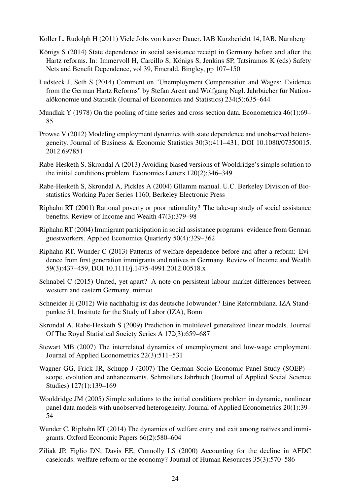- Koller L, Rudolph H (2011) Viele Jobs von kurzer Dauer. IAB Kurzbericht 14, IAB, Nürnberg
- Königs S (2014) State dependence in social assistance receipt in Germany before and after the Hartz reforms. In: Immervoll H, Carcillo S, Königs S, Jenkins SP, Tatsiramos K (eds) Safety Nets and Benefit Dependence, vol 39, Emerald, Bingley, pp 107–150
- Ludsteck J, Seth S (2014) Comment on "Unemployment Compensation and Wages: Evidence from the German Hartz Reforms" by Stefan Arent and Wolfgang Nagl. Jahrbücher für Nationalökonomie und Statistik (Journal of Economics and Statistics) 234(5):635–644
- Mundlak Y (1978) On the pooling of time series and cross section data. Econometrica 46(1):69– 85
- Prowse V (2012) Modeling employment dynamics with state dependence and unobserved heterogeneity. Journal of Business & Economic Statistics 30(3):411–431, DOI 10.1080/07350015. 2012.697851
- Rabe-Hesketh S, Skrondal A (2013) Avoiding biased versions of Wooldridge's simple solution to the initial conditions problem. Economics Letters 120(2):346–349
- Rabe-Hesketh S, Skrondal A, Pickles A (2004) Gllamm manual. U.C. Berkeley Division of Biostatistics Working Paper Series 1160, Berkeley Electronic Press
- Riphahn RT (2001) Rational poverty or poor rationality? The take-up study of social assistance benefits. Review of Income and Wealth 47(3):379–98
- Riphahn RT (2004) Immigrant participation in social assistance programs: evidence from German guestworkers. Applied Economics Quarterly 50(4):329–362
- Riphahn RT, Wunder C (2013) Patterns of welfare dependence before and after a reform: Evidence from first generation immigrants and natives in Germany. Review of Income and Wealth 59(3):437–459, DOI 10.1111/j.1475-4991.2012.00518.x
- Schnabel C (2015) United, yet apart? A note on persistent labour market differences between western and eastern Germany. mimeo
- Schneider H (2012) Wie nachhaltig ist das deutsche Jobwunder? Eine Reformbilanz. IZA Standpunkte 51, Institute for the Study of Labor (IZA), Bonn
- Skrondal A, Rabe-Hesketh S (2009) Prediction in multilevel generalized linear models. Journal Of The Royal Statistical Society Series A 172(3):659–687
- Stewart MB (2007) The interrelated dynamics of unemployment and low-wage employment. Journal of Applied Econometrics 22(3):511–531
- Wagner GG, Frick JR, Schupp J (2007) The German Socio-Economic Panel Study (SOEP) scope, evolution and enhancemants. Schmollers Jahrbuch (Journal of Applied Social Science Studies) 127(1):139–169
- Wooldridge JM (2005) Simple solutions to the initial conditions problem in dynamic, nonlinear panel data models with unobserved heterogeneity. Journal of Applied Econometrics 20(1):39– 54
- Wunder C, Riphahn RT (2014) The dynamics of welfare entry and exit among natives and immigrants. Oxford Economic Papers 66(2):580–604
- Ziliak JP, Figlio DN, Davis EE, Connolly LS (2000) Accounting for the decline in AFDC caseloads: welfare reform or the economy? Journal of Human Resources 35(3):570–586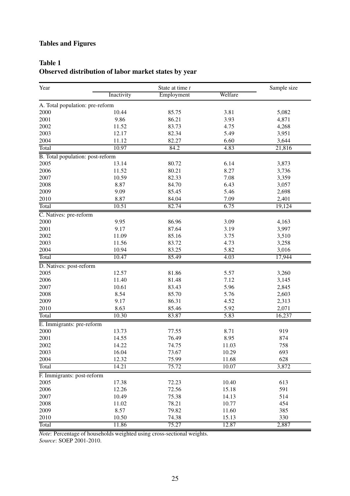## Tables and Figures

## Table 1 Observed distribution of labor market states by year

| Welfare<br>Employment<br>Inactivity<br>A. Total population: pre-reform<br>2000<br>10.44<br>85.75<br>3.81<br>5,082<br>2001<br>9.86<br>86.21<br>3.93<br>4,871<br>2002<br>11.52<br>83.73<br>4.75<br>4,268<br>2003<br>12.17<br>82.34<br>5.49<br>3,951<br>2004<br>11.12<br>82.27<br>6.60<br>3,644<br>Total<br>10.97<br>84.2<br>4.83<br>21,816<br>B. Total population: post-reform<br>80.72<br>2005<br>13.14<br>6.14<br>3,873<br>2006<br>80.21<br>8.27<br>11.52<br>3,736<br>2007<br>10.59<br>82.33<br>7.08<br>3,359<br>2008<br>8.87<br>84.70<br>6.43<br>3,057<br>2009<br>9.09<br>85.45<br>5.46<br>2,698<br>2010<br>8.87<br>84.04<br>7.09<br>2,401<br>10.51<br>6.75<br>Total<br>82.74<br>19,124<br>C. Natives: pre-reform<br>2000<br>86.96<br>9.95<br>3.09<br>4,163<br>2001<br>9.17<br>87.64<br>3.19<br>3,997<br>2002<br>11.09<br>3,510<br>85.16<br>3.75<br>2003<br>11.56<br>83.72<br>4.73<br>3,258<br>2004<br>5.82<br>10.94<br>83.25<br>3,016<br>10.47<br>85.49<br>17,944<br>Total<br>4.03<br>D. Natives: post-reform<br>2005<br>12.57<br>81.86<br>5.57<br>3,260<br>2006<br>11.40<br>81.48<br>7.12<br>3,145<br>2007<br>10.61<br>83.43<br>5.96<br>2,845<br>2008<br>8.54<br>85.70<br>5.76<br>2,603<br>2009<br>9.17<br>86.31<br>4.52<br>2,313<br>2010<br>8.63<br>85.46<br>5.92<br>2,071<br>Total<br>10.30<br>83.87<br>5.83<br>16,237<br>E. Immigrants: pre-reform<br>919<br>2000<br>13.73<br>8.71<br>77.55<br>2001<br>8.95<br>874<br>14.55<br>76.49<br>14.22<br>74.75<br>758<br>2002<br>11.03<br>2003<br>16.04<br>73.67<br>10.29<br>693<br>12.32<br>628<br>2004<br>75.99<br>11.68<br>75.72<br>10.07<br>3,872<br>Total<br>14.21<br>F. Immigrants: post-reform<br>2005<br>10.40<br>613<br>17.38<br>72.23<br>2006<br>591<br>12.26<br>72.56<br>15.18<br>2007<br>10.49<br>75.38<br>14.13<br>514<br>2008<br>11.02<br>78.21<br>10.77<br>454<br>2009<br>8.57<br>79.82<br>385<br>11.60<br>2010<br>10.50<br>74.38<br>15.13<br>330<br>11.86<br>75.27<br>2,887<br>Total<br>12.87 | Year | State at time t | Sample size |
|-------------------------------------------------------------------------------------------------------------------------------------------------------------------------------------------------------------------------------------------------------------------------------------------------------------------------------------------------------------------------------------------------------------------------------------------------------------------------------------------------------------------------------------------------------------------------------------------------------------------------------------------------------------------------------------------------------------------------------------------------------------------------------------------------------------------------------------------------------------------------------------------------------------------------------------------------------------------------------------------------------------------------------------------------------------------------------------------------------------------------------------------------------------------------------------------------------------------------------------------------------------------------------------------------------------------------------------------------------------------------------------------------------------------------------------------------------------------------------------------------------------------------------------------------------------------------------------------------------------------------------------------------------------------------------------------------------------------------------------------------------------------------------------------------------------------------------------------------------------------------------------------------------------------------------------------------------------|------|-----------------|-------------|
|                                                                                                                                                                                                                                                                                                                                                                                                                                                                                                                                                                                                                                                                                                                                                                                                                                                                                                                                                                                                                                                                                                                                                                                                                                                                                                                                                                                                                                                                                                                                                                                                                                                                                                                                                                                                                                                                                                                                                             |      |                 |             |
|                                                                                                                                                                                                                                                                                                                                                                                                                                                                                                                                                                                                                                                                                                                                                                                                                                                                                                                                                                                                                                                                                                                                                                                                                                                                                                                                                                                                                                                                                                                                                                                                                                                                                                                                                                                                                                                                                                                                                             |      |                 |             |
|                                                                                                                                                                                                                                                                                                                                                                                                                                                                                                                                                                                                                                                                                                                                                                                                                                                                                                                                                                                                                                                                                                                                                                                                                                                                                                                                                                                                                                                                                                                                                                                                                                                                                                                                                                                                                                                                                                                                                             |      |                 |             |
|                                                                                                                                                                                                                                                                                                                                                                                                                                                                                                                                                                                                                                                                                                                                                                                                                                                                                                                                                                                                                                                                                                                                                                                                                                                                                                                                                                                                                                                                                                                                                                                                                                                                                                                                                                                                                                                                                                                                                             |      |                 |             |
|                                                                                                                                                                                                                                                                                                                                                                                                                                                                                                                                                                                                                                                                                                                                                                                                                                                                                                                                                                                                                                                                                                                                                                                                                                                                                                                                                                                                                                                                                                                                                                                                                                                                                                                                                                                                                                                                                                                                                             |      |                 |             |
|                                                                                                                                                                                                                                                                                                                                                                                                                                                                                                                                                                                                                                                                                                                                                                                                                                                                                                                                                                                                                                                                                                                                                                                                                                                                                                                                                                                                                                                                                                                                                                                                                                                                                                                                                                                                                                                                                                                                                             |      |                 |             |
|                                                                                                                                                                                                                                                                                                                                                                                                                                                                                                                                                                                                                                                                                                                                                                                                                                                                                                                                                                                                                                                                                                                                                                                                                                                                                                                                                                                                                                                                                                                                                                                                                                                                                                                                                                                                                                                                                                                                                             |      |                 |             |
|                                                                                                                                                                                                                                                                                                                                                                                                                                                                                                                                                                                                                                                                                                                                                                                                                                                                                                                                                                                                                                                                                                                                                                                                                                                                                                                                                                                                                                                                                                                                                                                                                                                                                                                                                                                                                                                                                                                                                             |      |                 |             |
|                                                                                                                                                                                                                                                                                                                                                                                                                                                                                                                                                                                                                                                                                                                                                                                                                                                                                                                                                                                                                                                                                                                                                                                                                                                                                                                                                                                                                                                                                                                                                                                                                                                                                                                                                                                                                                                                                                                                                             |      |                 |             |
|                                                                                                                                                                                                                                                                                                                                                                                                                                                                                                                                                                                                                                                                                                                                                                                                                                                                                                                                                                                                                                                                                                                                                                                                                                                                                                                                                                                                                                                                                                                                                                                                                                                                                                                                                                                                                                                                                                                                                             |      |                 |             |
|                                                                                                                                                                                                                                                                                                                                                                                                                                                                                                                                                                                                                                                                                                                                                                                                                                                                                                                                                                                                                                                                                                                                                                                                                                                                                                                                                                                                                                                                                                                                                                                                                                                                                                                                                                                                                                                                                                                                                             |      |                 |             |
|                                                                                                                                                                                                                                                                                                                                                                                                                                                                                                                                                                                                                                                                                                                                                                                                                                                                                                                                                                                                                                                                                                                                                                                                                                                                                                                                                                                                                                                                                                                                                                                                                                                                                                                                                                                                                                                                                                                                                             |      |                 |             |
|                                                                                                                                                                                                                                                                                                                                                                                                                                                                                                                                                                                                                                                                                                                                                                                                                                                                                                                                                                                                                                                                                                                                                                                                                                                                                                                                                                                                                                                                                                                                                                                                                                                                                                                                                                                                                                                                                                                                                             |      |                 |             |
|                                                                                                                                                                                                                                                                                                                                                                                                                                                                                                                                                                                                                                                                                                                                                                                                                                                                                                                                                                                                                                                                                                                                                                                                                                                                                                                                                                                                                                                                                                                                                                                                                                                                                                                                                                                                                                                                                                                                                             |      |                 |             |
|                                                                                                                                                                                                                                                                                                                                                                                                                                                                                                                                                                                                                                                                                                                                                                                                                                                                                                                                                                                                                                                                                                                                                                                                                                                                                                                                                                                                                                                                                                                                                                                                                                                                                                                                                                                                                                                                                                                                                             |      |                 |             |
|                                                                                                                                                                                                                                                                                                                                                                                                                                                                                                                                                                                                                                                                                                                                                                                                                                                                                                                                                                                                                                                                                                                                                                                                                                                                                                                                                                                                                                                                                                                                                                                                                                                                                                                                                                                                                                                                                                                                                             |      |                 |             |
|                                                                                                                                                                                                                                                                                                                                                                                                                                                                                                                                                                                                                                                                                                                                                                                                                                                                                                                                                                                                                                                                                                                                                                                                                                                                                                                                                                                                                                                                                                                                                                                                                                                                                                                                                                                                                                                                                                                                                             |      |                 |             |
|                                                                                                                                                                                                                                                                                                                                                                                                                                                                                                                                                                                                                                                                                                                                                                                                                                                                                                                                                                                                                                                                                                                                                                                                                                                                                                                                                                                                                                                                                                                                                                                                                                                                                                                                                                                                                                                                                                                                                             |      |                 |             |
|                                                                                                                                                                                                                                                                                                                                                                                                                                                                                                                                                                                                                                                                                                                                                                                                                                                                                                                                                                                                                                                                                                                                                                                                                                                                                                                                                                                                                                                                                                                                                                                                                                                                                                                                                                                                                                                                                                                                                             |      |                 |             |
|                                                                                                                                                                                                                                                                                                                                                                                                                                                                                                                                                                                                                                                                                                                                                                                                                                                                                                                                                                                                                                                                                                                                                                                                                                                                                                                                                                                                                                                                                                                                                                                                                                                                                                                                                                                                                                                                                                                                                             |      |                 |             |
|                                                                                                                                                                                                                                                                                                                                                                                                                                                                                                                                                                                                                                                                                                                                                                                                                                                                                                                                                                                                                                                                                                                                                                                                                                                                                                                                                                                                                                                                                                                                                                                                                                                                                                                                                                                                                                                                                                                                                             |      |                 |             |
|                                                                                                                                                                                                                                                                                                                                                                                                                                                                                                                                                                                                                                                                                                                                                                                                                                                                                                                                                                                                                                                                                                                                                                                                                                                                                                                                                                                                                                                                                                                                                                                                                                                                                                                                                                                                                                                                                                                                                             |      |                 |             |
|                                                                                                                                                                                                                                                                                                                                                                                                                                                                                                                                                                                                                                                                                                                                                                                                                                                                                                                                                                                                                                                                                                                                                                                                                                                                                                                                                                                                                                                                                                                                                                                                                                                                                                                                                                                                                                                                                                                                                             |      |                 |             |
|                                                                                                                                                                                                                                                                                                                                                                                                                                                                                                                                                                                                                                                                                                                                                                                                                                                                                                                                                                                                                                                                                                                                                                                                                                                                                                                                                                                                                                                                                                                                                                                                                                                                                                                                                                                                                                                                                                                                                             |      |                 |             |
|                                                                                                                                                                                                                                                                                                                                                                                                                                                                                                                                                                                                                                                                                                                                                                                                                                                                                                                                                                                                                                                                                                                                                                                                                                                                                                                                                                                                                                                                                                                                                                                                                                                                                                                                                                                                                                                                                                                                                             |      |                 |             |
|                                                                                                                                                                                                                                                                                                                                                                                                                                                                                                                                                                                                                                                                                                                                                                                                                                                                                                                                                                                                                                                                                                                                                                                                                                                                                                                                                                                                                                                                                                                                                                                                                                                                                                                                                                                                                                                                                                                                                             |      |                 |             |
|                                                                                                                                                                                                                                                                                                                                                                                                                                                                                                                                                                                                                                                                                                                                                                                                                                                                                                                                                                                                                                                                                                                                                                                                                                                                                                                                                                                                                                                                                                                                                                                                                                                                                                                                                                                                                                                                                                                                                             |      |                 |             |
|                                                                                                                                                                                                                                                                                                                                                                                                                                                                                                                                                                                                                                                                                                                                                                                                                                                                                                                                                                                                                                                                                                                                                                                                                                                                                                                                                                                                                                                                                                                                                                                                                                                                                                                                                                                                                                                                                                                                                             |      |                 |             |
|                                                                                                                                                                                                                                                                                                                                                                                                                                                                                                                                                                                                                                                                                                                                                                                                                                                                                                                                                                                                                                                                                                                                                                                                                                                                                                                                                                                                                                                                                                                                                                                                                                                                                                                                                                                                                                                                                                                                                             |      |                 |             |
|                                                                                                                                                                                                                                                                                                                                                                                                                                                                                                                                                                                                                                                                                                                                                                                                                                                                                                                                                                                                                                                                                                                                                                                                                                                                                                                                                                                                                                                                                                                                                                                                                                                                                                                                                                                                                                                                                                                                                             |      |                 |             |
|                                                                                                                                                                                                                                                                                                                                                                                                                                                                                                                                                                                                                                                                                                                                                                                                                                                                                                                                                                                                                                                                                                                                                                                                                                                                                                                                                                                                                                                                                                                                                                                                                                                                                                                                                                                                                                                                                                                                                             |      |                 |             |
|                                                                                                                                                                                                                                                                                                                                                                                                                                                                                                                                                                                                                                                                                                                                                                                                                                                                                                                                                                                                                                                                                                                                                                                                                                                                                                                                                                                                                                                                                                                                                                                                                                                                                                                                                                                                                                                                                                                                                             |      |                 |             |
|                                                                                                                                                                                                                                                                                                                                                                                                                                                                                                                                                                                                                                                                                                                                                                                                                                                                                                                                                                                                                                                                                                                                                                                                                                                                                                                                                                                                                                                                                                                                                                                                                                                                                                                                                                                                                                                                                                                                                             |      |                 |             |
|                                                                                                                                                                                                                                                                                                                                                                                                                                                                                                                                                                                                                                                                                                                                                                                                                                                                                                                                                                                                                                                                                                                                                                                                                                                                                                                                                                                                                                                                                                                                                                                                                                                                                                                                                                                                                                                                                                                                                             |      |                 |             |
|                                                                                                                                                                                                                                                                                                                                                                                                                                                                                                                                                                                                                                                                                                                                                                                                                                                                                                                                                                                                                                                                                                                                                                                                                                                                                                                                                                                                                                                                                                                                                                                                                                                                                                                                                                                                                                                                                                                                                             |      |                 |             |
|                                                                                                                                                                                                                                                                                                                                                                                                                                                                                                                                                                                                                                                                                                                                                                                                                                                                                                                                                                                                                                                                                                                                                                                                                                                                                                                                                                                                                                                                                                                                                                                                                                                                                                                                                                                                                                                                                                                                                             |      |                 |             |
|                                                                                                                                                                                                                                                                                                                                                                                                                                                                                                                                                                                                                                                                                                                                                                                                                                                                                                                                                                                                                                                                                                                                                                                                                                                                                                                                                                                                                                                                                                                                                                                                                                                                                                                                                                                                                                                                                                                                                             |      |                 |             |
|                                                                                                                                                                                                                                                                                                                                                                                                                                                                                                                                                                                                                                                                                                                                                                                                                                                                                                                                                                                                                                                                                                                                                                                                                                                                                                                                                                                                                                                                                                                                                                                                                                                                                                                                                                                                                                                                                                                                                             |      |                 |             |
|                                                                                                                                                                                                                                                                                                                                                                                                                                                                                                                                                                                                                                                                                                                                                                                                                                                                                                                                                                                                                                                                                                                                                                                                                                                                                                                                                                                                                                                                                                                                                                                                                                                                                                                                                                                                                                                                                                                                                             |      |                 |             |
|                                                                                                                                                                                                                                                                                                                                                                                                                                                                                                                                                                                                                                                                                                                                                                                                                                                                                                                                                                                                                                                                                                                                                                                                                                                                                                                                                                                                                                                                                                                                                                                                                                                                                                                                                                                                                                                                                                                                                             |      |                 |             |
|                                                                                                                                                                                                                                                                                                                                                                                                                                                                                                                                                                                                                                                                                                                                                                                                                                                                                                                                                                                                                                                                                                                                                                                                                                                                                                                                                                                                                                                                                                                                                                                                                                                                                                                                                                                                                                                                                                                                                             |      |                 |             |
|                                                                                                                                                                                                                                                                                                                                                                                                                                                                                                                                                                                                                                                                                                                                                                                                                                                                                                                                                                                                                                                                                                                                                                                                                                                                                                                                                                                                                                                                                                                                                                                                                                                                                                                                                                                                                                                                                                                                                             |      |                 |             |
|                                                                                                                                                                                                                                                                                                                                                                                                                                                                                                                                                                                                                                                                                                                                                                                                                                                                                                                                                                                                                                                                                                                                                                                                                                                                                                                                                                                                                                                                                                                                                                                                                                                                                                                                                                                                                                                                                                                                                             |      |                 |             |
|                                                                                                                                                                                                                                                                                                                                                                                                                                                                                                                                                                                                                                                                                                                                                                                                                                                                                                                                                                                                                                                                                                                                                                                                                                                                                                                                                                                                                                                                                                                                                                                                                                                                                                                                                                                                                                                                                                                                                             |      |                 |             |
|                                                                                                                                                                                                                                                                                                                                                                                                                                                                                                                                                                                                                                                                                                                                                                                                                                                                                                                                                                                                                                                                                                                                                                                                                                                                                                                                                                                                                                                                                                                                                                                                                                                                                                                                                                                                                                                                                                                                                             |      |                 |             |
|                                                                                                                                                                                                                                                                                                                                                                                                                                                                                                                                                                                                                                                                                                                                                                                                                                                                                                                                                                                                                                                                                                                                                                                                                                                                                                                                                                                                                                                                                                                                                                                                                                                                                                                                                                                                                                                                                                                                                             |      |                 |             |

*Note*: Percentage of households weighted using cross-sectional weights.

*Source*: SOEP 2001-2010.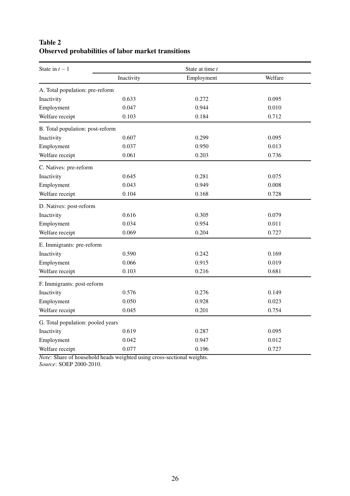### Table 2 Observed probabilities of labor market transitions

| State in $t-1$                    |            | State at time t |         |  |  |  |  |
|-----------------------------------|------------|-----------------|---------|--|--|--|--|
|                                   | Inactivity | Employment      | Welfare |  |  |  |  |
| A. Total population: pre-reform   |            |                 |         |  |  |  |  |
| Inactivity                        | 0.633      | 0.272           | 0.095   |  |  |  |  |
| Employment                        | 0.047      | 0.944           | 0.010   |  |  |  |  |
| Welfare receipt                   | 0.103      | 0.184           | 0.712   |  |  |  |  |
| B. Total population: post-reform  |            |                 |         |  |  |  |  |
| Inactivity                        | 0.607      | 0.299           | 0.095   |  |  |  |  |
| Employment                        | 0.037      | 0.950           | 0.013   |  |  |  |  |
| Welfare receipt                   | 0.061      | 0.203           | 0.736   |  |  |  |  |
| C. Natives: pre-reform            |            |                 |         |  |  |  |  |
| Inactivity                        | 0.645      | 0.281           | 0.075   |  |  |  |  |
| Employment                        | 0.043      | 0.949           | 0.008   |  |  |  |  |
| Welfare receipt                   | 0.104      | 0.168           | 0.728   |  |  |  |  |
| D. Natives: post-reform           |            |                 |         |  |  |  |  |
| Inactivity                        | 0.616      | 0.305           | 0.079   |  |  |  |  |
| Employment                        | 0.034      | 0.954           | 0.011   |  |  |  |  |
| Welfare receipt                   | 0.069      | 0.204           | 0.727   |  |  |  |  |
| E. Immigrants: pre-reform         |            |                 |         |  |  |  |  |
| Inactivity                        | 0.590      | 0.242           | 0.169   |  |  |  |  |
| Employment                        | 0.066      | 0.915           | 0.019   |  |  |  |  |
| Welfare receipt                   | 0.103      | 0.216           | 0.681   |  |  |  |  |
| F. Immigrants: post-reform        |            |                 |         |  |  |  |  |
| Inactivity                        | 0.576      | 0.276           | 0.149   |  |  |  |  |
| Employment                        | 0.050      | 0.928           | 0.023   |  |  |  |  |
| Welfare receipt                   | 0.045      | 0.201           | 0.754   |  |  |  |  |
| G. Total population: pooled years |            |                 |         |  |  |  |  |
| Inactivity                        | 0.619      | 0.287           | 0.095   |  |  |  |  |
| Employment                        | 0.042      | 0.947           | 0.012   |  |  |  |  |
| Welfare receipt                   | 0.077      | 0.196           | 0.727   |  |  |  |  |

*Note*: Share of household heads weighted using cross-sectional weights. *Source*: SOEP 2000-2010.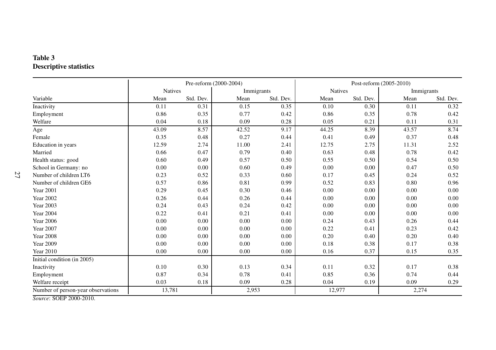#### Table 3Descriptive statistics

|                                                 |        | Pre-reform (2000-2004)       |       | Post-reform (2005-2010) |                |           |            |           |
|-------------------------------------------------|--------|------------------------------|-------|-------------------------|----------------|-----------|------------|-----------|
|                                                 |        | <b>Natives</b><br>Immigrants |       |                         | <b>Natives</b> |           | Immigrants |           |
| Variable                                        | Mean   | Std. Dev.                    | Mean  | Std. Dev.               | Mean           | Std. Dev. | Mean       | Std. Dev. |
| Inactivity                                      | 0.11   | 0.31                         | 0.15  | 0.35                    | $0.10\,$       | 0.30      | 0.11       | 0.32      |
| Employment                                      | 0.86   | 0.35                         | 0.77  | 0.42                    | 0.86           | 0.35      | 0.78       | 0.42      |
| Welfare                                         | 0.04   | 0.18                         | 0.09  | 0.28                    | 0.05           | 0.21      | 0.11       | 0.31      |
| Age                                             | 43.09  | 8.57                         | 42.52 | 9.17                    | 44.25          | 8.39      | 43.57      | 8.74      |
| Female                                          | 0.35   | 0.48                         | 0.27  | 0.44                    | 0.41           | 0.49      | 0.37       | 0.48      |
| Education in years                              | 12.59  | 2.74                         | 11.00 | 2.41                    | 12.75          | 2.75      | 11.31      | 2.52      |
| Married                                         | 0.66   | 0.47                         | 0.79  | 0.40                    | 0.63           | 0.48      | 0.78       | 0.42      |
| Health status: good                             | 0.60   | 0.49                         | 0.57  | 0.50                    | 0.55           | 0.50      | 0.54       | 0.50      |
| School in Germany: no                           | 0.00   | 0.00                         | 0.60  | 0.49                    | 0.00           | 0.00      | 0.47       | 0.50      |
| Number of children LT6                          | 0.23   | 0.52                         | 0.33  | 0.60                    | 0.17           | 0.45      | 0.24       | 0.52      |
| Number of children GE6                          | 0.57   | 0.86                         | 0.81  | 0.99                    | 0.52           | 0.83      | 0.80       | 0.96      |
| <b>Year 2001</b>                                | 0.29   | 0.45                         | 0.30  | 0.46                    | 0.00           | 0.00      | 0.00       | 0.00      |
| <b>Year 2002</b>                                | 0.26   | 0.44                         | 0.26  | 0.44                    | 0.00           | 0.00      | 0.00       | 0.00      |
| <b>Year 2003</b>                                | 0.24   | 0.43                         | 0.24  | 0.42                    | 0.00           | 0.00      | 0.00       | 0.00      |
| <b>Year 2004</b>                                | 0.22   | 0.41                         | 0.21  | 0.41                    | 0.00           | 0.00      | 0.00       | 0.00      |
| <b>Year 2006</b>                                | 0.00   | 0.00                         | 0.00  | 0.00                    | 0.24           | 0.43      | 0.26       | 0.44      |
| Year 2007                                       | 0.00   | 0.00                         | 0.00  | 0.00                    | 0.22           | 0.41      | 0.23       | 0.42      |
| <b>Year 2008</b>                                | 0.00   | 0.00                         | 0.00  | 0.00                    | 0.20           | 0.40      | 0.20       | 0.40      |
| <b>Year 2009</b>                                | 0.00   | 0.00                         | 0.00  | 0.00                    | 0.18           | 0.38      | 0.17       | 0.38      |
| <b>Year 2010</b>                                | 0.00   | 0.00                         | 0.00  | 0.00                    | 0.16           | 0.37      | 0.15       | 0.35      |
| Initial condition (in 2005)                     |        |                              |       |                         |                |           |            |           |
| Inactivity                                      | 0.10   | 0.30                         | 0.13  | 0.34                    | 0.11           | 0.32      | 0.17       | 0.38      |
| Employment                                      | 0.87   | 0.34                         | 0.78  | 0.41                    | 0.85           | 0.36      | 0.74       | 0.44      |
| Welfare receipt                                 | 0.03   | 0.18                         | 0.09  | 0.28                    | 0.04           | 0.19      | 0.09       | 0.29      |
| Number of person-year observations<br>000000000 | 13,781 |                              | 2,953 |                         | 12,977         |           | 2,274      |           |

*Source*: SOEP 2000-2010.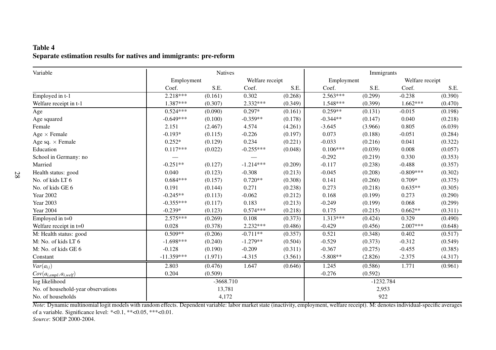#### Table 4Separate estimation results for natives and immigrants: pre-reform

| Variable                           |              | <b>Natives</b> |                 |         |            | Immigrants  |                 |         |
|------------------------------------|--------------|----------------|-----------------|---------|------------|-------------|-----------------|---------|
|                                    | Employment   |                | Welfare receipt |         | Employment |             | Welfare receipt |         |
|                                    | Coef.        | S.E.           | Coef.           | S.E.    | Coef.      | S.E.        | Coef.           | S.E.    |
| Employed in t-1                    | $2.218***$   | (0.161)        | 0.302           | (0.268) | $2.563***$ | (0.299)     | $-0.238$        | (0.390) |
| Welfare receipt in t-1             | 1.387***     | (0.307)        | 2.332***        | (0.349) | 1.548***   | (0.399)     | $1.662***$      | (0.470) |
| Age                                | $0.524***$   | (0.090)        | $0.297*$        | (0.161) | $0.259**$  | (0.131)     | $-0.015$        | (0.198) |
| Age squared                        | $-0.649***$  | (0.100)        | $-0.359**$      | (0.178) | $-0.344**$ | (0.147)     | 0.040           | (0.218) |
| Female                             | 2.151        | (2.467)        | 4.574           | (4.261) | $-3.645$   | (3.966)     | 0.805           | (6.039) |
| Age $\times$ Female                | $-0.193*$    | (0.115)        | $-0.226$        | (0.197) | 0.073      | (0.188)     | $-0.051$        | (0.284) |
| Age sq. $\times$ Female            | $0.252*$     | (0.129)        | 0.234           | (0.221) | $-0.033$   | (0.216)     | 0.041           | (0.322) |
| Education                          | $0.117***$   | (0.022)        | $-0.255***$     | (0.048) | $0.106***$ | (0.039)     | 0.008           | (0.057) |
| School in Germany: no              |              |                |                 |         | $-0.292$   | (0.219)     | 0.330           | (0.353) |
| Married                            | $-0.251**$   | (0.127)        | $-1.214***$     | (0.209) | $-0.117$   | (0.238)     | $-0.488$        | (0.357) |
| Health status: good                | 0.040        | (0.123)        | $-0.308$        | (0.213) | $-0.045$   | (0.208)     | $-0.809***$     | (0.302) |
| No. of kids LT 6                   | $0.684***$   | (0.157)        | $0.720**$       | (0.308) | 0.141      | (0.260)     | $0.709*$        | (0.375) |
| No. of kids GE 6                   | 0.191        | (0.144)        | 0.271           | (0.238) | 0.273      | (0.218)     | $0.635**$       | (0.305) |
| <b>Year 2002</b>                   | $-0.245**$   | (0.113)        | $-0.062$        | (0.212) | 0.168      | (0.199)     | 0.273           | (0.290) |
| <b>Year 2003</b>                   | $-0.355***$  | (0.117)        | 0.183           | (0.213) | $-0.249$   | (0.199)     | 0.068           | (0.299) |
| <b>Year 2004</b>                   | $-0.239*$    | (0.123)        | $0.574***$      | (0.218) | 0.175      | (0.215)     | $0.662**$       | (0.311) |
| Employed in $t=0$                  | $2.575***$   | (0.269)        | 0.108           | (0.373) | 1.313***   | (0.424)     | 0.329           | (0.490) |
| Welfare receipt in $t=0$           | 0.028        | (0.378)        | 2.232***        | (0.486) | $-0.429$   | (0.456)     | $2.007***$      | (0.648) |
| M: Health status: good             | $0.509**$    | (0.206)        | $-0.711**$      | (0.357) | 0.521      | (0.348)     | 0.402           | (0.517) |
| M: No. of kids LT 6                | $-1.698***$  | (0.240)        | $-1.279**$      | (0.504) | $-0.529$   | (0.373)     | $-0.312$        | (0.549) |
| M: No. of kids GE 6                | $-0.128$     | (0.190)        | $-0.209$        | (0.311) | $-0.367$   | (0.275)     | $-0.455$        | (0.385) |
| Constant                           | $-11.359***$ | (1.971)        | $-4.315$        | (3.561) | $-5.808**$ | (2.826)     | $-2.375$        | (4.317) |
| $Var(a_{ij})$                      | 2.803        | (0.476)        | 1.647           | (0.646) | 1.245      | (0.586)     | 1.771           | (0.961) |
| $Cov(a_{i,empl}, a_{i, well})$     | 0.204        | (0.509)        |                 |         | $-0.276$   | (0.592)     |                 |         |
| log likelihood                     |              | $-3668.710$    |                 |         |            | $-1232.784$ |                 |         |
| No. of household-year observations |              | 13,781         |                 |         |            | 2,953       |                 |         |
| No. of households                  |              | 4,172          |                 |         |            | 922         |                 |         |

*Note*: Dynamic multinomial logit models with random effects. Dependent variable: labor market state (inactivity, employment, welfare receipt). M: denotes individual-specific averagesof a variable. Significance level: \*< 0.1, \*\* < 0.05, \*\*\* < 0.01.

*Source*: SOEP 2000-2004.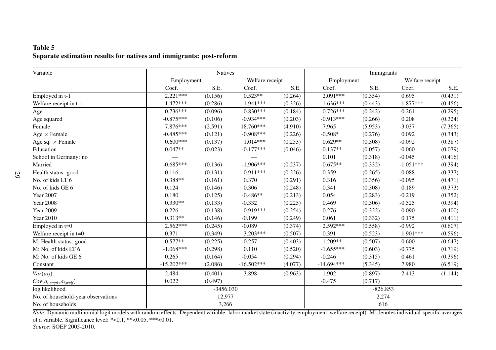#### Table 5Separate estimation results for natives and immigrants: post-reform

| Variable                           |              | <b>Natives</b> |                 |         | Immigrants   |            |                 |         |  |
|------------------------------------|--------------|----------------|-----------------|---------|--------------|------------|-----------------|---------|--|
|                                    | Employment   |                | Welfare receipt |         | Employment   |            | Welfare receipt |         |  |
|                                    | Coef.        | S.E.           | Coef.           | S.E.    | Coef.        | S.E.       | Coef.           | S.E.    |  |
| Employed in t-1                    | $2.221***$   | (0.156)        | $0.523**$       | (0.264) | 2.091***     | (0.354)    | 0.695           | (0.431) |  |
| Welfare receipt in t-1             | $1.472***$   | (0.286)        | 1.941***        | (0.326) | $1.636***$   | (0.443)    | 1.877***        | (0.456) |  |
| Age                                | $0.736***$   | (0.096)        | $0.830***$      | (0.184) | $0.726***$   | (0.242)    | $-0.261$        | (0.295) |  |
| Age squared                        | $-0.875***$  | (0.106)        | $-0.934***$     | (0.203) | $-0.913***$  | (0.266)    | 0.208           | (0.324) |  |
| Female                             | 7.876***     | (2.591)        | 18.760***       | (4.910) | 7.965        | (5.953)    | $-3.037$        | (7.365) |  |
| Age $\times$ Female                | $-0.485***$  | (0.121)        | $-0.908***$     | (0.226) | $-0.508*$    | (0.276)    | 0.092           | (0.343) |  |
| Age sq. $\times$ Female            | $0.600***$   | (0.137)        | $1.014***$      | (0.253) | $0.629**$    | (0.308)    | $-0.092$        | (0.387) |  |
| Education                          | $0.047**$    | (0.023)        | $-0.177***$     | (0.046) | $0.137**$    | (0.057)    | $-0.060$        | (0.079) |  |
| School in Germany: no              |              |                |                 |         | 0.101        | (0.318)    | $-0.045$        | (0.416) |  |
| Married                            | $-0.685***$  | (0.136)        | $-1.906***$     | (0.237) | $-0.675**$   | (0.332)    | $-1.051***$     | (0.394) |  |
| Health status: good                | $-0.116$     | (0.131)        | $-0.911***$     | (0.226) | $-0.359$     | (0.265)    | $-0.088$        | (0.337) |  |
| No. of kids LT 6                   | $0.388**$    | (0.161)        | 0.370           | (0.291) | 0.316        | (0.356)    | $-0.095$        | (0.471) |  |
| No. of kids GE 6                   | 0.124        | (0.146)        | 0.306           | (0.248) | 0.341        | (0.308)    | 0.189           | (0.373) |  |
| <b>Year 2007</b>                   | 0.180        | (0.125)        | $-0.486**$      | (0.213) | 0.054        | (0.283)    | $-0.219$        | (0.352) |  |
| <b>Year 2008</b>                   | $0.330**$    | (0.133)        | $-0.332$        | (0.225) | 0.469        | (0.306)    | $-0.525$        | (0.394) |  |
| <b>Year 2009</b>                   | 0.226        | (0.138)        | $-0.919***$     | (0.254) | 0.276        | (0.322)    | $-0.090$        | (0.400) |  |
| <b>Year 2010</b>                   | $0.313**$    | (0.146)        | $-0.199$        | (0.249) | 0.061        | (0.332)    | 0.175           | (0.411) |  |
| Employed in $t=0$                  | $2.562***$   | (0.245)        | $-0.089$        | (0.374) | 2.592***     | (0.558)    | $-0.992$        | (0.607) |  |
| Welfare receipt in $t=0$           | 0.371        | (0.349)        | $3.203***$      | (0.507) | 0.391        | (0.523)    | 1.901***        | (0.596) |  |
| M: Health status: good             | $0.577**$    | (0.225)        | $-0.257$        | (0.403) | 1.209**      | (0.507)    | $-0.600$        | (0.647) |  |
| M: No. of kids LT 6                | $-1.068***$  | (0.298)        | 0.110           | (0.520) | $-1.655***$  | (0.603)    | $-0.775$        | (0.719) |  |
| M: No. of kids GE 6                | 0.265        | (0.164)        | $-0.054$        | (0.294) | $-0.246$     | (0.315)    | 0.461           | (0.396) |  |
| Constant                           | $-15.202***$ | (2.086)        | $-16.502***$    | (4.077) | $-14.694***$ | (5.345)    | 7.980           | (6.519) |  |
| $\overline{Var(a_{ij})}$           | 2.484        | (0.401)        | 3.898           | (0.963) | 1.902        | (0.897)    | 2.413           | (1.144) |  |
| $Cov(a_{i,empl}, a_{i, well})$     | 0.022        | (0.497)        |                 |         | $-0.475$     | (0.717)    |                 |         |  |
| log likelihood                     |              | $-3456.030$    |                 |         |              | $-826.853$ |                 |         |  |
| No. of household-year observations |              | 12,977         |                 |         | 2,274        |            |                 |         |  |
| No. of households                  |              | 3,266          |                 |         |              | 616        |                 |         |  |

*Note*: Dynamic multinomial logit models with random effects. Dependent variable: labor market state (inactivity, employment, welfare receipt). M: denotes individual-specific averagesof <sup>a</sup> variable. Significance level: \*<0.1, \*\*<0.05, \*\*\*<0.01.

*Source*: SOEP 2005-2010.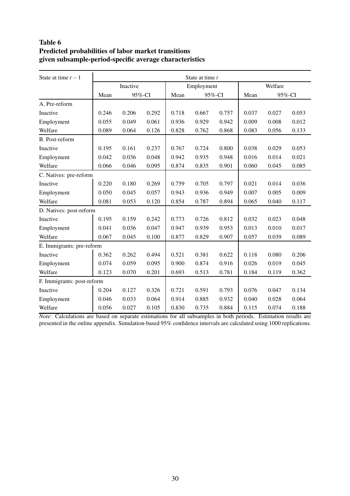## Table 6 Predicted probabilities of labor market transitions given subsample-period-specific average characteristics

| State at time $t-1$        |       |          |        |       | State at time t |        |       |         |       |
|----------------------------|-------|----------|--------|-------|-----------------|--------|-------|---------|-------|
|                            |       | Inactive |        |       | Employment      |        |       | Welfare |       |
|                            | Mean  |          | 95%-CI | Mean  |                 | 95%-CI | Mean  | 95%-CI  |       |
| A. Pre-reform              |       |          |        |       |                 |        |       |         |       |
| Inactive                   | 0.246 | 0.206    | 0.292  | 0.718 | 0.667           | 0.757  | 0.037 | 0.027   | 0.053 |
| Employment                 | 0.055 | 0.049    | 0.061  | 0.936 | 0.929           | 0.942  | 0.009 | 0.008   | 0.012 |
| Welfare                    | 0.089 | 0.064    | 0.126  | 0.828 | 0.762           | 0.868  | 0.083 | 0.056   | 0.133 |
| B. Post-reform             |       |          |        |       |                 |        |       |         |       |
| Inactive                   | 0.195 | 0.161    | 0.237  | 0.767 | 0.724           | 0.800  | 0.038 | 0.029   | 0.053 |
| Employment                 | 0.042 | 0.036    | 0.048  | 0.942 | 0.935           | 0.948  | 0.016 | 0.014   | 0.021 |
| Welfare                    | 0.066 | 0.046    | 0.095  | 0.874 | 0.835           | 0.901  | 0.060 | 0.045   | 0.085 |
| C. Natives: pre-reform     |       |          |        |       |                 |        |       |         |       |
| Inactive                   | 0.220 | 0.180    | 0.269  | 0.759 | 0.705           | 0.797  | 0.021 | 0.014   | 0.036 |
| Employment                 | 0.050 | 0.045    | 0.057  | 0.943 | 0.936           | 0.949  | 0.007 | 0.005   | 0.009 |
| Welfare                    | 0.081 | 0.053    | 0.120  | 0.854 | 0.787           | 0.894  | 0.065 | 0.040   | 0.117 |
| D. Natives: post-reform    |       |          |        |       |                 |        |       |         |       |
| Inactive                   | 0.195 | 0.159    | 0.242  | 0.773 | 0.726           | 0.812  | 0.032 | 0.023   | 0.048 |
| Employment                 | 0.041 | 0.036    | 0.047  | 0.947 | 0.939           | 0.953  | 0.013 | 0.010   | 0.017 |
| Welfare                    | 0.067 | 0.045    | 0.100  | 0.877 | 0.829           | 0.907  | 0.057 | 0.039   | 0.089 |
| E. Immigrants: pre-reform  |       |          |        |       |                 |        |       |         |       |
| Inactive                   | 0.362 | 0.262    | 0.494  | 0.521 | 0.381           | 0.622  | 0.118 | 0.080   | 0.206 |
| Employment                 | 0.074 | 0.059    | 0.095  | 0.900 | 0.874           | 0.916  | 0.026 | 0.019   | 0.045 |
| Welfare                    | 0.123 | 0.070    | 0.201  | 0.693 | 0.513           | 0.781  | 0.184 | 0.119   | 0.362 |
| F. Immigrants: post-reform |       |          |        |       |                 |        |       |         |       |
| Inactive                   | 0.204 | 0.127    | 0.326  | 0.721 | 0.591           | 0.793  | 0.076 | 0.047   | 0.134 |
| Employment                 | 0.046 | 0.033    | 0.064  | 0.914 | 0.885           | 0.932  | 0.040 | 0.028   | 0.064 |
| Welfare                    | 0.056 | 0.027    | 0.105  | 0.830 | 0.735           | 0.884  | 0.115 | 0.074   | 0.188 |

*Note*: Calculations are based on separate estimations for all subsamples in both periods. Estimation results are presented in the online appendix. Simulation-based 95% confidence intervals are calculated using 1000 replications.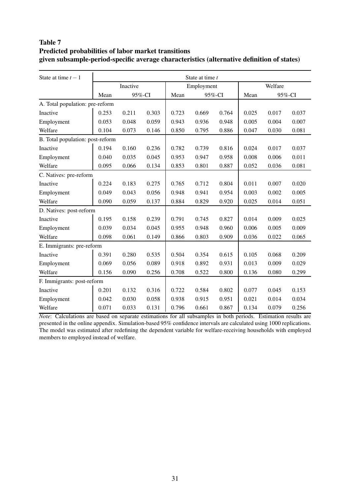#### Table 7 Predicted probabilities of labor market transitions given subsample-period-specific average characteristics (alternative definition of states)

| State at time $t-1$              |       | State at time t |        |       |            |       |       |         |       |  |
|----------------------------------|-------|-----------------|--------|-------|------------|-------|-------|---------|-------|--|
|                                  |       | Inactive        |        |       | Employment |       |       | Welfare |       |  |
|                                  | Mean  |                 | 95%-CI | Mean  | 95%-CI     |       | Mean  | 95%-CI  |       |  |
| A. Total population: pre-reform  |       |                 |        |       |            |       |       |         |       |  |
| Inactive                         | 0.253 | 0.211           | 0.303  | 0.723 | 0.669      | 0.764 | 0.025 | 0.017   | 0.037 |  |
| Employment                       | 0.053 | 0.048           | 0.059  | 0.943 | 0.936      | 0.948 | 0.005 | 0.004   | 0.007 |  |
| Welfare                          | 0.104 | 0.073           | 0.146  | 0.850 | 0.795      | 0.886 | 0.047 | 0.030   | 0.081 |  |
| B. Total population: post-reform |       |                 |        |       |            |       |       |         |       |  |
| Inactive                         | 0.194 | 0.160           | 0.236  | 0.782 | 0.739      | 0.816 | 0.024 | 0.017   | 0.037 |  |
| Employment                       | 0.040 | 0.035           | 0.045  | 0.953 | 0.947      | 0.958 | 0.008 | 0.006   | 0.011 |  |
| Welfare                          | 0.095 | 0.066           | 0.134  | 0.853 | 0.801      | 0.887 | 0.052 | 0.036   | 0.081 |  |
| C. Natives: pre-reform           |       |                 |        |       |            |       |       |         |       |  |
| Inactive                         | 0.224 | 0.183           | 0.275  | 0.765 | 0.712      | 0.804 | 0.011 | 0.007   | 0.020 |  |
| Employment                       | 0.049 | 0.043           | 0.056  | 0.948 | 0.941      | 0.954 | 0.003 | 0.002   | 0.005 |  |
| Welfare                          | 0.090 | 0.059           | 0.137  | 0.884 | 0.829      | 0.920 | 0.025 | 0.014   | 0.051 |  |
| D. Natives: post-reform          |       |                 |        |       |            |       |       |         |       |  |
| Inactive                         | 0.195 | 0.158           | 0.239  | 0.791 | 0.745      | 0.827 | 0.014 | 0.009   | 0.025 |  |
| Employment                       | 0.039 | 0.034           | 0.045  | 0.955 | 0.948      | 0.960 | 0.006 | 0.005   | 0.009 |  |
| Welfare                          | 0.098 | 0.061           | 0.149  | 0.866 | 0.803      | 0.909 | 0.036 | 0.022   | 0.065 |  |
| E. Immigrants: pre-reform        |       |                 |        |       |            |       |       |         |       |  |
| Inactive                         | 0.391 | 0.280           | 0.535  | 0.504 | 0.354      | 0.615 | 0.105 | 0.068   | 0.209 |  |
| Employment                       | 0.069 | 0.056           | 0.089  | 0.918 | 0.892      | 0.931 | 0.013 | 0.009   | 0.029 |  |
| Welfare                          | 0.156 | 0.090           | 0.256  | 0.708 | 0.522      | 0.800 | 0.136 | 0.080   | 0.299 |  |
| F. Immigrants: post-reform       |       |                 |        |       |            |       |       |         |       |  |
| Inactive                         | 0.201 | 0.132           | 0.316  | 0.722 | 0.584      | 0.802 | 0.077 | 0.045   | 0.153 |  |
| Employment                       | 0.042 | 0.030           | 0.058  | 0.938 | 0.915      | 0.951 | 0.021 | 0.014   | 0.034 |  |
| Welfare                          | 0.071 | 0.033           | 0.131  | 0.796 | 0.661      | 0.867 | 0.134 | 0.079   | 0.256 |  |

*Note*: Calculations are based on separate estimations for all subsamples in both periods. Estimation results are presented in the online appendix. Simulation-based 95% confidence intervals are calculated using 1000 replications. The model was estimated after redefining the dependent variable for welfare-receiving households with employed members to employed instead of welfare.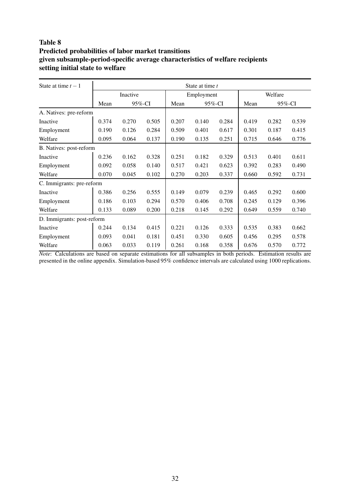#### Table 8 Predicted probabilities of labor market transitions given subsample-period-specific average characteristics of welfare recipients setting initial state to welfare

| State at time $t-1$        |       |          |        |       | State at time t |       |       |         |       |
|----------------------------|-------|----------|--------|-------|-----------------|-------|-------|---------|-------|
|                            |       | Inactive |        |       | Employment      |       |       | Welfare |       |
|                            | Mean  |          | 95%-CI | Mean  | $95\%$ -CI      |       | Mean  | 95%-CI  |       |
| A. Natives: pre-reform     |       |          |        |       |                 |       |       |         |       |
| Inactive                   | 0.374 | 0.270    | 0.505  | 0.207 | 0.140           | 0.284 | 0.419 | 0.282   | 0.539 |
| Employment                 | 0.190 | 0.126    | 0.284  | 0.509 | 0.401           | 0.617 | 0.301 | 0.187   | 0.415 |
| Welfare                    | 0.095 | 0.064    | 0.137  | 0.190 | 0.135           | 0.251 | 0.715 | 0.646   | 0.776 |
| B. Natives: post-reform    |       |          |        |       |                 |       |       |         |       |
| Inactive                   | 0.236 | 0.162    | 0.328  | 0.251 | 0.182           | 0.329 | 0.513 | 0.401   | 0.611 |
| Employment                 | 0.092 | 0.058    | 0.140  | 0.517 | 0.421           | 0.623 | 0.392 | 0.283   | 0.490 |
| Welfare                    | 0.070 | 0.045    | 0.102  | 0.270 | 0.203           | 0.337 | 0.660 | 0.592   | 0.731 |
| C. Immigrants: pre-reform  |       |          |        |       |                 |       |       |         |       |
| Inactive                   | 0.386 | 0.256    | 0.555  | 0.149 | 0.079           | 0.239 | 0.465 | 0.292   | 0.600 |
| Employment                 | 0.186 | 0.103    | 0.294  | 0.570 | 0.406           | 0.708 | 0.245 | 0.129   | 0.396 |
| Welfare                    | 0.133 | 0.089    | 0.200  | 0.218 | 0.145           | 0.292 | 0.649 | 0.559   | 0.740 |
| D. Immigrants: post-reform |       |          |        |       |                 |       |       |         |       |
| Inactive                   | 0.244 | 0.134    | 0.415  | 0.221 | 0.126           | 0.333 | 0.535 | 0.383   | 0.662 |
| Employment                 | 0.093 | 0.041    | 0.181  | 0.451 | 0.330           | 0.605 | 0.456 | 0.295   | 0.578 |
| Welfare                    | 0.063 | 0.033    | 0.119  | 0.261 | 0.168           | 0.358 | 0.676 | 0.570   | 0.772 |

*Note*: Calculations are based on separate estimations for all subsamples in both periods. Estimation results are presented in the online appendix. Simulation-based 95% confidence intervals are calculated using 1000 replications.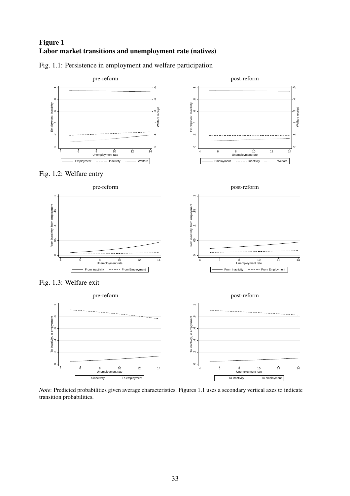#### Figure 1 Labor market transitions and unemployment rate (natives)



Fig. 1.1: Persistence in employment and welfare participation

*Note*: Predicted probabilities given average characteristics. Figures 1.1 uses a secondary vertical axes to indicate transition probabilities.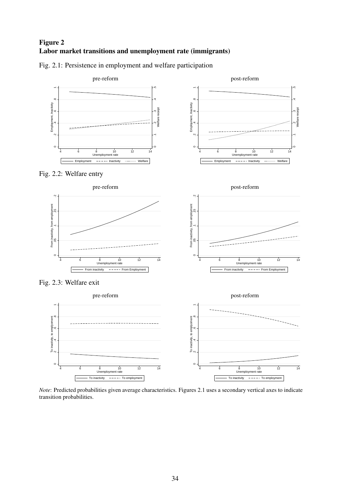## Figure 2 Labor market transitions and unemployment rate (immigrants)



Fig. 2.1: Persistence in employment and welfare participation

*Note*: Predicted probabilities given average characteristics. Figures 2.1 uses a secondary vertical axes to indicate transition probabilities.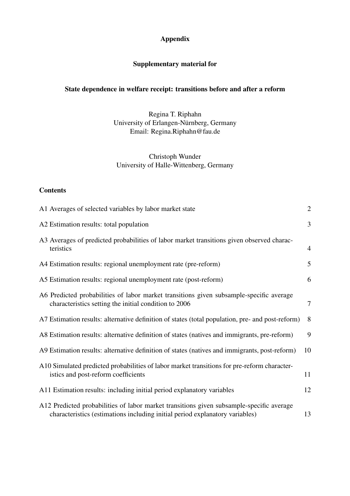#### Appendix

#### Supplementary material for

## State dependence in welfare receipt: transitions before and after a reform

Regina T. Riphahn University of Erlangen-Nürnberg, Germany Email: Regina.Riphahn@fau.de

#### Christoph Wunder University of Halle-Wittenberg, Germany

#### **Contents**

| A1 Averages of selected variables by labor market state                                                                                                                  | $\overline{2}$ |
|--------------------------------------------------------------------------------------------------------------------------------------------------------------------------|----------------|
| A2 Estimation results: total population                                                                                                                                  | 3              |
| A3 Averages of predicted probabilities of labor market transitions given observed charac-<br>teristics                                                                   | $\overline{4}$ |
| A4 Estimation results: regional unemployment rate (pre-reform)                                                                                                           | 5              |
| A5 Estimation results: regional unemployment rate (post-reform)                                                                                                          | 6              |
| A6 Predicted probabilities of labor market transitions given subsample-specific average<br>characteristics setting the initial condition to 2006                         | $\overline{7}$ |
| A7 Estimation results: alternative definition of states (total population, pre- and post-reform)                                                                         | 8              |
| A8 Estimation results: alternative definition of states (natives and immigrants, pre-reform)                                                                             | 9              |
| A9 Estimation results: alternative definition of states (natives and immigrants, post-reform)                                                                            | 10             |
| A10 Simulated predicted probabilities of labor market transitions for pre-reform character-<br>istics and post-reform coefficients                                       | 11             |
| A11 Estimation results: including initial period explanatory variables                                                                                                   | 12             |
| A12 Predicted probabilities of labor market transitions given subsample-specific average<br>characteristics (estimations including initial period explanatory variables) | 13             |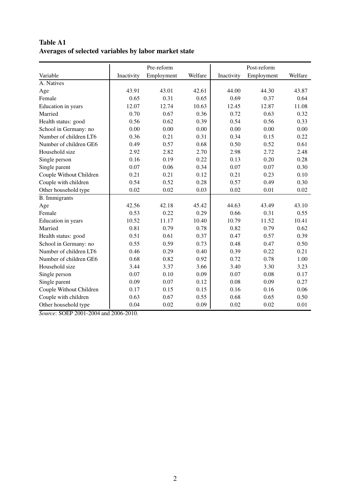|                         |            | Pre-reform |         |            | Post-reform |         |
|-------------------------|------------|------------|---------|------------|-------------|---------|
| Variable                | Inactivity | Employment | Welfare | Inactivity | Employment  | Welfare |
| A. Natives              |            |            |         |            |             |         |
| Age                     | 43.91      | 43.01      | 42.61   | 44.00      | 44.30       | 43.87   |
| Female                  | 0.65       | 0.31       | 0.65    | 0.69       | 0.37        | 0.64    |
| Education in years      | 12.07      | 12.74      | 10.63   | 12.45      | 12.87       | 11.08   |
| Married                 | 0.70       | 0.67       | 0.36    | 0.72       | 0.63        | 0.32    |
| Health status: good     | 0.56       | 0.62       | 0.39    | 0.54       | 0.56        | 0.33    |
| School in Germany: no   | 0.00       | 0.00       | 0.00    | 0.00       | 0.00        | 0.00    |
| Number of children LT6  | 0.36       | 0.21       | 0.31    | 0.34       | 0.15        | 0.22    |
| Number of children GE6  | 0.49       | 0.57       | 0.68    | 0.50       | 0.52        | 0.61    |
| Household size          | 2.92       | 2.82       | 2.70    | 2.98       | 2.72        | 2.48    |
| Single person           | 0.16       | 0.19       | 0.22    | 0.13       | 0.20        | 0.28    |
| Single parent           | 0.07       | 0.06       | 0.34    | 0.07       | 0.07        | 0.30    |
| Couple Without Children | 0.21       | 0.21       | 0.12    | 0.21       | 0.23        | 0.10    |
| Couple with children    | 0.54       | 0.52       | 0.28    | 0.57       | 0.49        | 0.30    |
| Other household type    | 0.02       | 0.02       | 0.03    | 0.02       | 0.01        | 0.02    |
| <b>B.</b> Immigrants    |            |            |         |            |             |         |
| Age                     | 42.56      | 42.18      | 45.42   | 44.63      | 43.49       | 43.10   |
| Female                  | 0.53       | 0.22       | 0.29    | 0.66       | 0.31        | 0.55    |
| Education in years      | 10.52      | 11.17      | 10.40   | 10.79      | 11.52       | 10.41   |
| Married                 | 0.81       | 0.79       | 0.78    | 0.82       | 0.79        | 0.62    |
| Health status: good     | 0.51       | 0.61       | 0.37    | 0.47       | 0.57        | 0.39    |
| School in Germany: no   | 0.55       | 0.59       | 0.73    | 0.48       | 0.47        | 0.50    |
| Number of children LT6  | 0.46       | 0.29       | 0.40    | 0.39       | 0.22        | 0.21    |
| Number of children GE6  | 0.68       | 0.82       | 0.92    | 0.72       | 0.78        | 1.00    |
| Household size          | 3.44       | 3.37       | 3.66    | 3.40       | 3.30        | 3.23    |
| Single person           | 0.07       | 0.10       | 0.09    | 0.07       | 0.08        | 0.17    |
| Single parent           | 0.09       | 0.07       | 0.12    | 0.08       | 0.09        | 0.27    |
| Couple Without Children | 0.17       | 0.15       | 0.15    | 0.16       | 0.16        | 0.06    |
| Couple with children    | 0.63       | 0.67       | 0.55    | 0.68       | 0.65        | 0.50    |
| Other household type    | 0.04       | 0.02       | 0.09    | 0.02       | 0.02        | 0.01    |

## Table A1 Averages of selected variables by labor market state

*Source*: SOEP 2001-2004 and 2006-2010.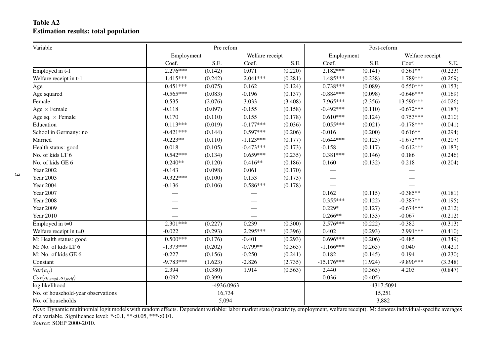#### Table A2Estimation results: total population

| Variable                             |             | Pre refom  |                 |         |              | Post-reform |                 |         |
|--------------------------------------|-------------|------------|-----------------|---------|--------------|-------------|-----------------|---------|
|                                      | Employment  |            | Welfare receipt |         | Employment   |             | Welfare receipt |         |
|                                      | Coef.       | S.E.       | Coef.           | S.E.    | Coef.        | S.E.        | Coef.           | S.E.    |
| Employed in t-1                      | $2.276***$  | (0.142)    | 0.071           | (0.220) | $2.182***$   | (0.141)     | $0.561**$       | (0.223) |
| Welfare receipt in t-1               | $1.415***$  | (0.242)    | $2.041***$      | (0.281) | 1.485***     | (0.238)     | 1.789***        | (0.269) |
| Age                                  | $0.451***$  | (0.075)    | 0.162           | (0.124) | $0.738***$   | (0.089)     | $0.550***$      | (0.153) |
| Age squared                          | $-0.565***$ | (0.083)    | $-0.196$        | (0.137) | $-0.884***$  | (0.098)     | $-0.646***$     | (0.169) |
| Female                               | 0.535       | (2.076)    | 3.033           | (3.408) | 7.965***     | (2.356)     | 13.590***       | (4.026) |
| Age $\times$ Female                  | $-0.118$    | (0.097)    | $-0.155$        | (0.158) | $-0.492***$  | (0.110)     | $-0.672***$     | (0.187) |
| Age sq. $\times$ Female              | 0.170       | (0.110)    | 0.155           | (0.178) | $0.610***$   | (0.124)     | $0.753***$      | (0.210) |
| Education                            | $0.113***$  | (0.019)    | $-0.177***$     | (0.036) | $0.055***$   | (0.021)     | $-0.178***$     | (0.041) |
| School in Germany: no                | $-0.421***$ | (0.144)    | $0.597***$      | (0.206) | $-0.016$     | (0.200)     | $0.616**$       | (0.294) |
| Married                              | $-0.223**$  | (0.110)    | $-1.123***$     | (0.177) | $-0.644***$  | (0.125)     | $-1.673***$     | (0.207) |
| Health status: good                  | 0.018       | (0.105)    | $-0.473***$     | (0.173) | $-0.158$     | (0.117)     | $-0.612***$     | (0.187) |
| No. of kids LT 6                     | $0.542***$  | (0.134)    | $0.659***$      | (0.235) | $0.381***$   | (0.146)     | 0.186           | (0.246) |
| No. of kids GE 6                     | $0.240**$   | (0.120)    | $0.416**$       | (0.186) | 0.160        | (0.132)     | 0.218           | (0.204) |
| <b>Year 2002</b>                     | $-0.143$    | (0.098)    | 0.061           | (0.170) |              |             |                 |         |
| <b>Year 2003</b>                     | $-0.322***$ | (0.100)    | 0.153           | (0.173) |              |             |                 |         |
| <b>Year 2004</b>                     | $-0.136$    | (0.106)    | $0.586***$      | (0.178) |              |             |                 |         |
| <b>Year 2007</b>                     |             |            |                 |         | 0.162        | (0.115)     | $-0.385**$      | (0.181) |
| <b>Year 2008</b>                     |             |            |                 |         | $0.355***$   | (0.122)     | $-0.387**$      | (0.195) |
| <b>Year 2009</b>                     |             |            |                 |         | $0.229*$     | (0.127)     | $-0.674***$     | (0.212) |
| <b>Year 2010</b>                     |             |            |                 |         | $0.266**$    | (0.133)     | $-0.067$        | (0.212) |
| Employed in t=0                      | $2.301***$  | (0.227)    | 0.239           | (0.300) | $2.576***$   | (0.222)     | $-0.382$        | (0.313) |
| Welfare receipt in $t=0$             | $-0.022$    | (0.293)    | 2.295***        | (0.396) | 0.402        | (0.293)     | 2.991***        | (0.410) |
| $\overline{M}$ : Health status: good | $0.500***$  | (0.176)    | $-0.401$        | (0.293) | $0.696***$   | (0.206)     | $-0.485$        | (0.349) |
| M: No. of kids LT 6                  | $-1.373***$ | (0.202)    | $-0.799**$      | (0.365) | $-1.166***$  | (0.265)     | 0.040           | (0.421) |
| M: No. of kids GE 6                  | $-0.227$    | (0.156)    | $-0.250$        | (0.241) | 0.182        | (0.145)     | 0.194           | (0.230) |
| Constant                             | $-9.783***$ | (1.623)    | $-2.826$        | (2.735) | $-15.176***$ | (1.924)     | $-9.890***$     | (3.348) |
| $Var(a_{ij})$                        | 2.394       | (0.380)    | 1.914           | (0.563) | 2.440        | (0.365)     | 4.203           | (0.847) |
| $Cov(a_{i,empl}, a_{i, well})$       | 0.092       | (0.399)    |                 |         | 0.036        | (0.405)     |                 |         |
| log likelihood                       |             | -4936.0963 |                 |         |              | -4317.5091  |                 |         |
| No. of household-year observations   |             | 16,734     |                 |         |              | 15,251      |                 |         |
| No. of households                    |             | 5,094      |                 |         |              | 3,882       |                 |         |

*Note*: Dynamic multinomial logit models with random effects. Dependent variable: labor market state (inactivity, employment, welfare receipt). M: denotes individual-specific averagesof <sup>a</sup> variable. Significance level: \*<0.1, \*\*<0.05, \*\*\*<0.01.

*Source*: SOEP 2000-2010.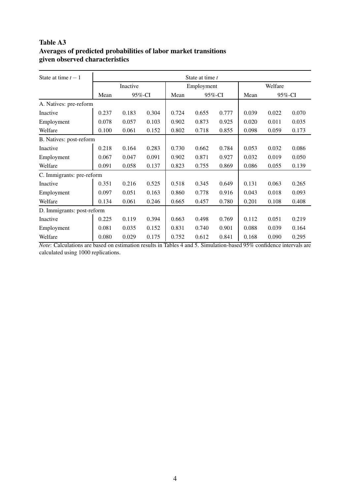#### Table A3 Averages of predicted probabilities of labor market transitions given observed characteristics

| State at time $t-1$        |       | State at time t |        |       |            |       |       |         |        |  |
|----------------------------|-------|-----------------|--------|-------|------------|-------|-------|---------|--------|--|
|                            |       | Inactive        |        |       | Employment |       |       | Welfare |        |  |
|                            | Mean  |                 | 95%-CI | Mean  | $95\%$ -CI |       | Mean  |         | 95%-CI |  |
| A. Natives: pre-reform     |       |                 |        |       |            |       |       |         |        |  |
| <b>Inactive</b>            | 0.237 | 0.183           | 0.304  | 0.724 | 0.655      | 0.777 | 0.039 | 0.022   | 0.070  |  |
| Employment                 | 0.078 | 0.057           | 0.103  | 0.902 | 0.873      | 0.925 | 0.020 | 0.011   | 0.035  |  |
| Welfare                    | 0.100 | 0.061           | 0.152  | 0.802 | 0.718      | 0.855 | 0.098 | 0.059   | 0.173  |  |
| B. Natives: post-reform    |       |                 |        |       |            |       |       |         |        |  |
| Inactive                   | 0.218 | 0.164           | 0.283  | 0.730 | 0.662      | 0.784 | 0.053 | 0.032   | 0.086  |  |
| Employment                 | 0.067 | 0.047           | 0.091  | 0.902 | 0.871      | 0.927 | 0.032 | 0.019   | 0.050  |  |
| Welfare                    | 0.091 | 0.058           | 0.137  | 0.823 | 0.755      | 0.869 | 0.086 | 0.055   | 0.139  |  |
| C. Immigrants: pre-reform  |       |                 |        |       |            |       |       |         |        |  |
| Inactive                   | 0.351 | 0.216           | 0.525  | 0.518 | 0.345      | 0.649 | 0.131 | 0.063   | 0.265  |  |
| Employment                 | 0.097 | 0.051           | 0.163  | 0.860 | 0.778      | 0.916 | 0.043 | 0.018   | 0.093  |  |
| Welfare                    | 0.134 | 0.061           | 0.246  | 0.665 | 0.457      | 0.780 | 0.201 | 0.108   | 0.408  |  |
| D. Immigrants: post-reform |       |                 |        |       |            |       |       |         |        |  |
| <b>Inactive</b>            | 0.225 | 0.119           | 0.394  | 0.663 | 0.498      | 0.769 | 0.112 | 0.051   | 0.219  |  |
| Employment                 | 0.081 | 0.035           | 0.152  | 0.831 | 0.740      | 0.901 | 0.088 | 0.039   | 0.164  |  |
| Welfare                    | 0.080 | 0.029           | 0.175  | 0.752 | 0.612      | 0.841 | 0.168 | 0.090   | 0.295  |  |

*Note*: Calculations are based on estimation results in Tables 4 and 5. Simulation-based 95% confidence intervals are calculated using 1000 replications.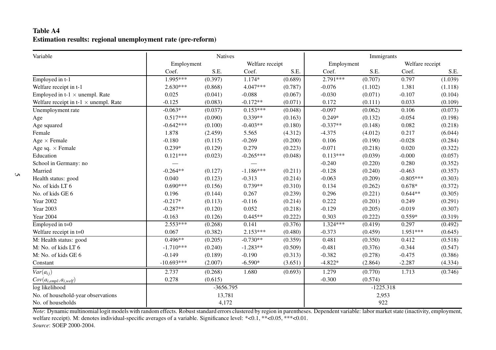## Table A4Estimation results: regional unemployment rate (pre-reform)

| Variable                                     |              | <b>Natives</b> |                 |         | Immigrants |             |                 |         |
|----------------------------------------------|--------------|----------------|-----------------|---------|------------|-------------|-----------------|---------|
|                                              | Employment   |                | Welfare receipt |         | Employment |             | Welfare receipt |         |
|                                              | Coef.        | S.E.           | Coef.           | S.E.    | Coef.      | S.E.        | Coef.           | S.E.    |
| Employed in t-1                              | 1.995***     | (0.397)        | $1.174*$        | (0.689) | $2.791***$ | (0.707)     | 0.797           | (1.039) |
| Welfare receipt in t-1                       | $2.630***$   | (0.868)        | 4.047***        | (0.787) | $-0.076$   | (1.102)     | 1.381           | (1.118) |
| Employed in t-1 $\times$ unempl. Rate        | 0.025        | (0.041)        | $-0.088$        | (0.067) | $-0.030$   | (0.071)     | $-0.107$        | (0.104) |
| Welfare receipt in t-1 $\times$ unempl. Rate | $-0.125$     | (0.083)        | $-0.172**$      | (0.071) | 0.172      | (0.111)     | 0.033           | (0.109) |
| Unemployment rate                            | $-0.063*$    | (0.037)        | $0.153***$      | (0.048) | $-0.097$   | (0.062)     | 0.106           | (0.073) |
| Age                                          | $0.517***$   | (0.090)        | $0.339**$       | (0.163) | $0.249*$   | (0.132)     | $-0.054$        | (0.198) |
| Age squared                                  | $-0.642***$  | (0.100)        | $-0.403**$      | (0.180) | $-0.337**$ | (0.148)     | 0.082           | (0.218) |
| Female                                       | 1.878        | (2.459)        | 5.565           | (4.312) | $-4.375$   | (4.012)     | 0.217           | (6.044) |
| Age $\times$ Female                          | $-0.180$     | (0.115)        | $-0.269$        | (0.200) | 0.106      | (0.190)     | $-0.028$        | (0.284) |
| Age sq. $\times$ Female                      | $0.239*$     | (0.129)        | 0.279           | (0.223) | $-0.071$   | (0.218)     | 0.020           | (0.322) |
| Education                                    | $0.121***$   | (0.023)        | $-0.265***$     | (0.048) | $0.113***$ | (0.039)     | $-0.000$        | (0.057) |
| School in Germany: no                        |              |                |                 |         | $-0.240$   | (0.220)     | 0.280           | (0.352) |
| Married                                      | $-0.264**$   | (0.127)        | $-1.186***$     | (0.211) | $-0.128$   | (0.240)     | $-0.463$        | (0.357) |
| Health status: good                          | 0.040        | (0.123)        | $-0.313$        | (0.214) | $-0.063$   | (0.209)     | $-0.805***$     | (0.303) |
| No. of kids LT 6                             | $0.690***$   | (0.156)        | $0.739**$       | (0.310) | 0.134      | (0.262)     | $0.678*$        | (0.372) |
| No. of kids GE 6                             | 0.196        | (0.144)        | 0.267           | (0.239) | 0.296      | (0.221)     | $0.644**$       | (0.305) |
| <b>Year 2002</b>                             | $-0.217*$    | (0.113)        | $-0.116$        | (0.214) | 0.222      | (0.201)     | 0.249           | (0.291) |
| <b>Year 2003</b>                             | $-0.287**$   | (0.120)        | 0.052           | (0.218) | $-0.129$   | (0.205)     | $-0.019$        | (0.307) |
| <b>Year 2004</b>                             | $-0.163$     | (0.126)        | $0.445**$       | (0.222) | 0.303      | (0.222)     | $0.559*$        | (0.319) |
| Employed in $t=0$                            | $2.553***$   | (0.268)        | 0.141           | (0.376) | 1.324***   | (0.419)     | 0.297           | (0.492) |
| Welfare receipt in $t=0$                     | 0.067        | (0.382)        | $2.153***$      | (0.480) | $-0.373$   | (0.459)     | 1.951***        | (0.645) |
| M: Health status: good                       | $0.496**$    | (0.205)        | $-0.730**$      | (0.359) | 0.481      | (0.350)     | 0.412           | (0.518) |
| M: No. of kids LT 6                          | $-1.710***$  | (0.240)        | $-1.283**$      | (0.509) | $-0.481$   | (0.376)     | $-0.344$        | (0.547) |
| M: No. of kids GE 6                          | $-0.149$     | (0.189)        | $-0.190$        | (0.313) | $-0.382$   | (0.278)     | $-0.475$        | (0.386) |
| Constant                                     | $-10.693***$ | (2.007)        | $-6.590*$       | (3.651) | $-4.822*$  | (2.864)     | $-2.287$        | (4.334) |
| $Var(a_{ij})$                                | 2.737        | (0.268)        | 1.680           | (0.693) | 1.279      | (0.770)     | 1.713           | (0.746) |
| $Cov(a_{i,empl}, a_{i, well})$               | 0.278        | (0.615)        |                 |         | $-0.300$   | (0.574)     |                 |         |
| log likelihood                               |              | $-3656.795$    |                 |         |            | $-1225.318$ |                 |         |
| No. of household-year observations           |              | 13,781         |                 |         |            | 2,953       |                 |         |
| No. of households                            |              | 4,172          |                 |         |            | 922         |                 |         |

*Note*: Dynamic multinomial logit models with random effects. Robust standard errors clustered by region in parentheses. Dependent variable: labor market state (inactivity, employment, welfare receipt). M: denotes individual-specific averages of <sup>a</sup> variable. Significance level: \*<0.1, \*\*<0.05, \*\*\*<0.01. *Source*: SOEP 2000-2004.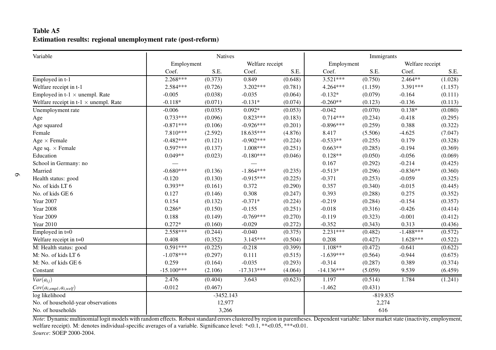#### Table A5Estimation results: regional unemployment rate (post-reform)

| Variable                                     |              | <b>Natives</b> |                 |         | Immigrants   |            |                 |         |
|----------------------------------------------|--------------|----------------|-----------------|---------|--------------|------------|-----------------|---------|
|                                              | Employment   |                | Welfare receipt |         | Employment   |            | Welfare receipt |         |
|                                              | Coef.        | S.E.           | Coef.           | S.E.    | Coef.        | S.E.       | Coef.           | S.E.    |
| Employed in t-1                              | $2.268***$   | (0.373)        | 0.849           | (0.648) | $3.521***$   | (0.750)    | $2.464**$       | (1.028) |
| Welfare receipt in t-1                       | 2.584***     | (0.726)        | $3.202***$      | (0.781) | 4.264***     | (1.159)    | 3.391***        | (1.157) |
| Employed in t-1 $\times$ unempl. Rate        | $-0.005$     | (0.038)        | $-0.035$        | (0.064) | $-0.132*$    | (0.079)    | $-0.164$        | (0.111) |
| Welfare receipt in t-1 $\times$ unempl. Rate | $-0.118*$    | (0.071)        | $-0.131*$       | (0.074) | $-0.260**$   | (0.123)    | $-0.136$        | (0.113) |
| Unemployment rate                            | $-0.006$     | (0.035)        | $0.092*$        | (0.053) | $-0.042$     | (0.070)    | $0.138*$        | (0.080) |
| Age                                          | $0.733***$   | (0.096)        | $0.823***$      | (0.183) | $0.714***$   | (0.234)    | $-0.418$        | (0.295) |
| Age squared                                  | $-0.871***$  | (0.106)        | $-0.926***$     | (0.201) | $-0.896***$  | (0.259)    | 0.388           | (0.322) |
| Female                                       | 7.810***     | (2.592)        | 18.635***       | (4.876) | 8.417        | (5.506)    | $-4.625$        | (7.047) |
| Age $\times$ Female                          | $-0.482***$  | (0.121)        | $-0.902***$     | (0.224) | $-0.533**$   | (0.255)    | 0.179           | (0.328) |
| Age sq. $\times$ Female                      | $0.597***$   | (0.137)        | $1.008***$      | (0.251) | $0.663**$    | (0.285)    | $-0.194$        | (0.369) |
| Education                                    | $0.049**$    | (0.023)        | $-0.180***$     | (0.046) | $0.128**$    | (0.050)    | $-0.056$        | (0.069) |
| School in Germany: no                        |              |                | —               |         | 0.167        | (0.292)    | $-0.214$        | (0.425) |
| Married                                      | $-0.680***$  | (0.136)        | $-1.864***$     | (0.235) | $-0.513*$    | (0.296)    | $-0.836**$      | (0.360) |
| Health status: good                          | $-0.120$     | (0.130)        | $-0.915***$     | (0.225) | $-0.371$     | (0.253)    | $-0.059$        | (0.325) |
| No. of kids LT 6                             | $0.393**$    | (0.161)        | 0.372           | (0.290) | 0.357        | (0.340)    | $-0.015$        | (0.445) |
| No. of kids GE 6                             | 0.127        | (0.146)        | 0.308           | (0.247) | 0.393        | (0.288)    | 0.275           | (0.352) |
| <b>Year 2007</b>                             | 0.154        | (0.132)        | $-0.371*$       | (0.224) | $-0.219$     | (0.284)    | $-0.154$        | (0.357) |
| <b>Year 2008</b>                             | $0.286*$     | (0.150)        | $-0.155$        | (0.251) | $-0.018$     | (0.316)    | $-0.426$        | (0.414) |
| <b>Year 2009</b>                             | 0.188        | (0.149)        | $-0.769***$     | (0.270) | $-0.119$     | (0.323)    | $-0.001$        | (0.412) |
| <b>Year 2010</b>                             | $0.272*$     | (0.160)        | $-0.029$        | (0.272) | $-0.352$     | (0.343)    | 0.313           | (0.436) |
| Employed in $t=0$                            | $2.558***$   | (0.244)        | $-0.040$        | (0.375) | $2.231***$   | (0.482)    | $-1.488***$     | (0.572) |
| Welfare receipt in $t=0$                     | 0.408        | (0.352)        | $3.145***$      | (0.504) | 0.208        | (0.427)    | $1.628***$      | (0.522) |
| M: Health status: good                       | $0.591***$   | (0.225)        | $-0.218$        | (0.399) | $1.108**$    | (0.472)    | $-0.641$        | (0.622) |
| M: No. of kids LT 6                          | $-1.078***$  | (0.297)        | 0.111           | (0.515) | $-1.639***$  | (0.564)    | $-0.944$        | (0.675) |
| M: No. of kids GE 6                          | 0.259        | (0.164)        | $-0.035$        | (0.293) | $-0.314$     | (0.287)    | 0.389           | (0.374) |
| Constant                                     | $-15.100***$ | (2.106)        | $-17.313***$    | (4.064) | $-14.136***$ | (5.059)    | 9.539           | (6.459) |
| $Var(a_{ij})$                                | 2.476        | (0.404)        | 3.643           | (0.623) | 1.197        | (0.514)    | 1.784           | (1.241) |
| $Cov(a_{i,empl}, a_{i,welf})$                | $-0.012$     | (0.467)        |                 |         | $-1.462$     | (0.431)    |                 |         |
| log likelihood                               |              | $-3452.143$    |                 |         |              | $-819.835$ |                 |         |
| No. of household-year observations           |              | 12,977         |                 |         |              | 2,274      |                 |         |
| No. of households                            | 3,266        |                |                 |         | 616          |            |                 |         |

*Note*: Dynamic multinomial logit models with random effects. Robust standard errors clustered by region in parentheses. Dependent variable: labor market state (inactivity, employment, welfare receipt). M: denotes individual-specific averages of <sup>a</sup> variable. Significance level: \*<0.1, \*\*<0.05, \*\*\*<0.01. *Source*: SOEP 2000-2004.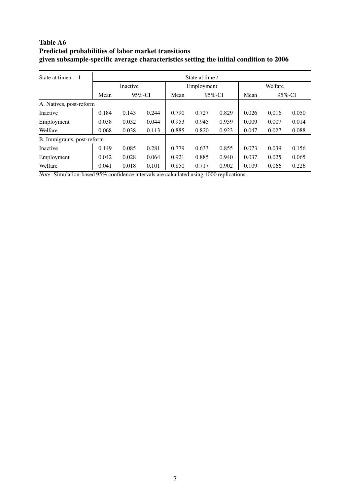#### Table A6 Predicted probabilities of labor market transitions given subsample-specific average characteristics setting the initial condition to 2006

| State at time $t-1$        | State at time t |          |       |       |            |       |         |            |       |  |
|----------------------------|-----------------|----------|-------|-------|------------|-------|---------|------------|-------|--|
|                            |                 | Inactive |       |       | Employment |       | Welfare |            |       |  |
|                            | Mean            | 95%-CI   |       | Mean  | 95%-CI     |       | Mean    | $95\%$ -CI |       |  |
| A. Natives, post-reform    |                 |          |       |       |            |       |         |            |       |  |
| <b>Inactive</b>            | 0.184           | 0.143    | 0.244 | 0.790 | 0.727      | 0.829 | 0.026   | 0.016      | 0.050 |  |
| Employment                 | 0.038           | 0.032    | 0.044 | 0.953 | 0.945      | 0.959 | 0.009   | 0.007      | 0.014 |  |
| Welfare                    | 0.068           | 0.038    | 0.113 | 0.885 | 0.820      | 0.923 | 0.047   | 0.027      | 0.088 |  |
| B. Immigrants, post-reform |                 |          |       |       |            |       |         |            |       |  |
| Inactive                   | 0.149           | 0.085    | 0.281 | 0.779 | 0.633      | 0.855 | 0.073   | 0.039      | 0.156 |  |
| Employment                 | 0.042           | 0.028    | 0.064 | 0.921 | 0.885      | 0.940 | 0.037   | 0.025      | 0.065 |  |
| Welfare                    | 0.041           | 0.018    | 0.101 | 0.850 | 0.717      | 0.902 | 0.109   | 0.066      | 0.226 |  |

*Note*: Simulation-based 95% confidence intervals are calculated using 1000 replications.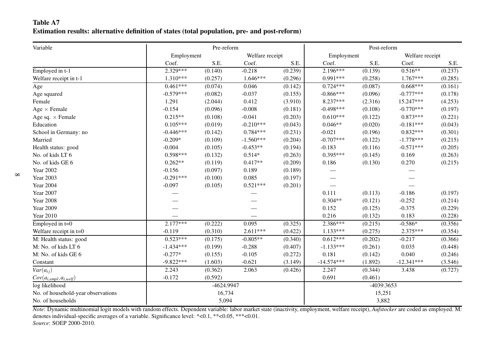#### Table A7Estimation results: alternative definition of states (total population, pre- and post-reform)

| Variable                           | Pre-reform  |            |                 |         | Post-reform  |            |                 |         |
|------------------------------------|-------------|------------|-----------------|---------|--------------|------------|-----------------|---------|
|                                    | Employment  |            | Welfare receipt |         | Employment   |            | Welfare receipt |         |
|                                    | Coef.       | S.E.       | Coef.           | S.E.    | Coef.        | S.E.       | Coef.           | S.E.    |
| Employed in t-1                    | 2.329***    | (0.140)    | $-0.218$        | (0.239) | $2.196***$   | (0.139)    | $0.516**$       | (0.237) |
| Welfare receipt in t-1             | $1.310***$  | (0.257)    | $1.646***$      | (0.296) | $0.991***$   | (0.258)    | $1.767***$      | (0.285) |
| Age                                | $0.461***$  | (0.074)    | 0.046           | (0.142) | $0.724***$   | (0.087)    | $0.668***$      | (0.161) |
| Age squared                        | $-0.579***$ | (0.082)    | $-0.037$        | (0.155) | $-0.866***$  | (0.096)    | $-0.777***$     | (0.178) |
| Female                             | 1.291       | (2.044)    | 0.412           | (3.910) | 8.237***     | (2.316)    | 15.247***       | (4.253) |
| Age $\times$ Female                | $-0.154$    | (0.096)    | $-0.008$        | (0.181) | $-0.498***$  | (0.108)    | $-0.770***$     | (0.197) |
| Age sq. $\times$ Female            | $0.215**$   | (0.108)    | $-0.041$        | (0.203) | $0.610***$   | (0.122)    | $0.873***$      | (0.221) |
| Education                          | $0.105***$  | (0.019)    | $-0.210***$     | (0.043) | $0.046**$    | (0.020)    | $-0.181***$     | (0.043) |
| School in Germany: no              | $-0.446***$ | (0.142)    | $0.784***$      | (0.231) | $-0.021$     | (0.196)    | $0.832***$      | (0.301) |
| Married                            | $-0.209*$   | (0.109)    | $-1.560***$     | (0.204) | $-0.707***$  | (0.122)    | $-1.778***$     | (0.215) |
| Health status: good                | $-0.004$    | (0.105)    | $-0.453**$      | (0.194) | $-0.183$     | (0.116)    | $-0.571***$     | (0.205) |
| No. of kids LT 6                   | $0.598***$  | (0.132)    | $0.514*$        | (0.263) | $0.395***$   | (0.145)    | 0.169           | (0.263) |
| No. of kids GE 6                   | $0.262**$   | (0.119)    | $0.417**$       | (0.209) | 0.186        | (0.130)    | 0.270           | (0.215) |
| <b>Year 2002</b>                   | $-0.156$    | (0.097)    | 0.189           | (0.189) |              |            |                 |         |
| <b>Year 2003</b>                   | $-0.291***$ | (0.100)    | 0.085           | (0.197) |              |            |                 |         |
| <b>Year 2004</b>                   | $-0.097$    | (0.105)    | $0.521***$      | (0.201) |              |            |                 |         |
| <b>Year 2007</b>                   |             |            |                 |         | 0.111        | (0.113)    | $-0.186$        | (0.197) |
| <b>Year 2008</b>                   |             |            |                 |         | $0.304**$    | (0.121)    | $-0.252$        | (0.214) |
| <b>Year 2009</b>                   |             |            |                 |         | 0.152        | (0.125)    | $-0.375$        | (0.229) |
| <b>Year 2010</b>                   |             |            |                 |         | 0.216        | (0.132)    | 0.183           | (0.228) |
| Employed in t=0                    | $2.177***$  | (0.222)    | 0.095           | (0.325) | 2.386***     | (0.215)    | $-0.586*$       | (0.356) |
| Welfare receipt in $t=0$           | $-0.119$    | (0.310)    | $2.611***$      | (0.422) | $1.133***$   | (0.275)    | 2.375***        | (0.354) |
| M: Health status: good             | $0.523***$  | (0.175)    | $-0.805**$      | (0.340) | $0.612***$   | (0.202)    | $-0.217$        | (0.366) |
| M: No. of kids LT 6                | $-1.434***$ | (0.199)    | $-0.288$        | (0.407) | $-1.133***$  | (0.261)    | 0.035           | (0.448) |
| M: No. of kids GE 6                | $-0.277*$   | (0.155)    | $-0.105$        | (0.272) | 0.181        | (0.142)    | 0.040           | (0.246) |
| Constant                           | $-9.822***$ | (1.603)    | $-0.621$        | (3.149) | $-14.574***$ | (1.892)    | $-12.341***$    | (3.546) |
| $Var(a_{ij})$                      | 2.243       | (0.362)    | 2.063           | (0.426) | 2.247        | (0.344)    | 3.438           | (0.727) |
| $Cov(a_{i,empl}, a_{i, well})$     | $-0.172$    | (0.592)    |                 |         | 0.691        | (0.461)    |                 |         |
| log likelihood                     |             | -4624.9947 |                 |         |              | -4039.3653 |                 |         |
| No. of household-year observations |             | 16,734     |                 |         |              | 15,251     |                 |         |
| No. of households                  |             | 5,094      |                 |         | 3,882        |            |                 |         |

*Note*: Dynamic multinomial logit models with random effects. Dependent variable: labor market state (inactivity, employment, welfare receipt), *Aufstocker* are coded as employed. M: denotes individual-specific averages of <sup>a</sup> variable. Significance level: \*<0.1, \*\*<0.05, \*\*\*<0.01. *Source*: SOEP 2000-2010.

 $\infty$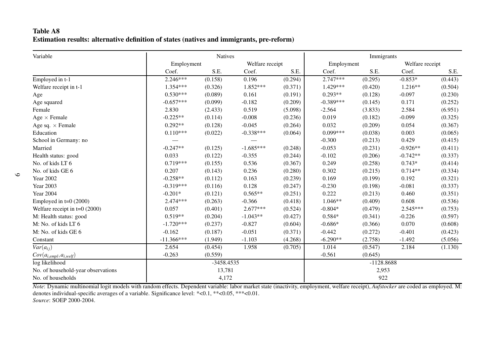#### Table A8Estimation results: alternative definition of states (natives and immigrants, pre-reform)

| Variable                           |              | <b>Natives</b> |                 |         | Immigrants  |              |                 |         |
|------------------------------------|--------------|----------------|-----------------|---------|-------------|--------------|-----------------|---------|
|                                    | Employment   |                | Welfare receipt |         | Employment  |              | Welfare receipt |         |
|                                    | Coef.        | S.E.           | Coef.           | S.E.    | Coef.       | S.E.         | Coef.           | S.E.    |
| Employed in t-1                    | $2.246***$   | (0.158)        | 0.196           | (0.294) | $2.747***$  | (0.295)      | $-0.853*$       | (0.443) |
| Welfare receipt in t-1             | 1.354***     | (0.326)        | 1.852***        | (0.371) | 1.429***    | (0.420)      | 1.216**         | (0.504) |
| Age                                | $0.530***$   | (0.089)        | 0.161           | (0.191) | $0.293**$   | (0.128)      | $-0.097$        | (0.230) |
| Age squared                        | $-0.657***$  | (0.099)        | $-0.182$        | (0.209) | $-0.389***$ | (0.145)      | 0.171           | (0.252) |
| Female                             | 2.830        | (2.433)        | 0.519           | (5.098) | $-2.564$    | (3.833)      | 2.584           | (6.951) |
| Age $\times$ Female                | $-0.225**$   | (0.114)        | $-0.008$        | (0.236) | 0.019       | (0.182)      | $-0.099$        | (0.325) |
| Age sq. $\times$ Female            | $0.292**$    | (0.128)        | $-0.045$        | (0.264) | 0.032       | (0.209)      | 0.054           | (0.367) |
| Education                          | $0.110***$   | (0.022)        | $-0.338***$     | (0.064) | $0.099***$  | (0.038)      | 0.003           | (0.065) |
| School in Germany: no              |              |                |                 |         | $-0.300$    | (0.213)      | 0.429           | (0.415) |
| Married                            | $-0.247**$   | (0.125)        | $-1.685***$     | (0.248) | $-0.053$    | (0.231)      | $-0.926**$      | (0.411) |
| Health status: good                | 0.033        | (0.122)        | $-0.355$        | (0.244) | $-0.102$    | (0.206)      | $-0.742**$      | (0.337) |
| No. of kids LT 6                   | $0.719***$   | (0.155)        | 0.536           | (0.367) | 0.249       | (0.258)      | $0.743*$        | (0.414) |
| No. of kids GE 6                   | 0.207        | (0.143)        | 0.236           | (0.280) | 0.302       | (0.215)      | $0.714**$       | (0.334) |
| <b>Year 2002</b>                   | $-0.258**$   | (0.112)        | 0.163           | (0.239) | 0.169       | (0.199)      | 0.192           | (0.321) |
| <b>Year 2003</b>                   | $-0.319***$  | (0.116)        | 0.128           | (0.247) | $-0.230$    | (0.198)      | $-0.081$        | (0.337) |
| <b>Year 2004</b>                   | $-0.201*$    | (0.121)        | $0.565**$       | (0.251) | 0.222       | (0.213)      | 0.460           | (0.351) |
| Employed in $t=0$ (2000)           | 2.474***     | (0.263)        | $-0.366$        | (0.418) | $1.046**$   | (0.409)      | 0.608           | (0.536) |
| Welfare receipt in $t=0$ (2000)    | 0.057        | (0.401)        | $2.677***$      | (0.524) | $-0.804*$   | (0.479)      | 2.545***        | (0.753) |
| M: Health status: good             | $0.519**$    | (0.204)        | $-1.043**$      | (0.427) | $0.584*$    | (0.341)      | $-0.226$        | (0.597) |
| M: No. of kids LT 6                | $-1.720***$  | (0.237)        | $-0.827$        | (0.604) | $-0.686*$   | (0.366)      | 0.070           | (0.608) |
| M: No. of kids GE 6                | $-0.162$     | (0.187)        | $-0.051$        | (0.371) | $-0.442$    | (0.272)      | $-0.401$        | (0.423) |
| Constant                           | $-11.366***$ | (1.949)        | $-1.103$        | (4.268) | $-6.290**$  | (2.758)      | $-1.492$        | (5.056) |
| $Var(a_{ij})$                      | 2.654        | (0.454)        | 1.958           | (0.705) | 1.014       | (0.547)      | 2.184           | (1.130) |
| $Cov(a_{i,empl}, a_{i, well})$     | $-0.263$     | (0.559)        |                 |         | $-0.561$    | (0.645)      |                 |         |
| log likelihood                     |              | $-3458.4535$   |                 |         |             | $-1128.8688$ |                 |         |
| No. of household-year observations |              | 13,781         |                 |         |             | 2,953        |                 |         |
| No. of households                  |              | 4,172          |                 |         | 922         |              |                 |         |

*Note*: Dynamic multinomial logit models with random effects. Dependent variable: labor market state (inactivity, employment, welfare receipt), *Aufstocker* are coded as employed. M: denotes individual-specific averages of a variable. Significance level: \*<0.1, \*\*<0.05, \*\*\*<0.01. *Source*: SOEP 2000-2004.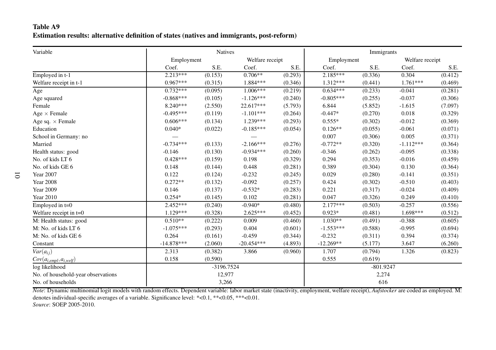#### Table A9Estimation results: alternative definition of states (natives and immigrants, post-reform)

| Variable                           |              | <b>Natives</b> |                 |         | Immigrants  |             |                 |         |
|------------------------------------|--------------|----------------|-----------------|---------|-------------|-------------|-----------------|---------|
|                                    | Employment   |                | Welfare receipt |         | Employment  |             | Welfare receipt |         |
|                                    | Coef.        | S.E.           | Coef.           | S.E.    | Coef.       | S.E.        | Coef.           | S.E.    |
| Employed in t-1                    | $2.213***$   | (0.153)        | $0.706**$       | (0.293) | $2.185***$  | (0.336)     | 0.304           | (0.412) |
| Welfare receipt in t-1             | $0.967***$   | (0.315)        | 1.884***        | (0.346) | 1.312***    | (0.441)     | 1.761***        | (0.469) |
| Age                                | $0.732***$   | (0.095)        | 1.006***        | (0.219) | $0.634***$  | (0.233)     | $-0.041$        | (0.281) |
| Age squared                        | $-0.868***$  | (0.105)        | $-1.126***$     | (0.240) | $-0.805***$ | (0.255)     | $-0.037$        | (0.306) |
| Female                             | $8.240***$   | (2.550)        | 22.617***       | (5.793) | 6.844       | (5.852)     | $-1.615$        | (7.097) |
| Age $\times$ Female                | $-0.495***$  | (0.119)        | $-1.101***$     | (0.264) | $-0.447*$   | (0.270)     | 0.018           | (0.329) |
| Age sq. $\times$ Female            | $0.606***$   | (0.134)        | 1.239***        | (0.293) | $0.555*$    | (0.302)     | $-0.012$        | (0.369) |
| Education                          | $0.040*$     | (0.022)        | $-0.185***$     | (0.054) | $0.126**$   | (0.055)     | $-0.061$        | (0.071) |
| School in Germany: no              |              |                |                 |         | 0.007       | (0.306)     | 0.005           | (0.371) |
| Married                            | $-0.734***$  | (0.133)        | $-2.166***$     | (0.276) | $-0.772**$  | (0.320)     | $-1.112***$     | (0.364) |
| Health status: good                | $-0.146$     | (0.130)        | $-0.934***$     | (0.260) | $-0.346$    | (0.262)     | $-0.095$        | (0.338) |
| No. of kids LT 6                   | $0.428***$   | (0.159)        | 0.198           | (0.329) | 0.294       | (0.353)     | $-0.016$        | (0.459) |
| No. of kids GE 6                   | 0.148        | (0.144)        | 0.448           | (0.281) | 0.389       | (0.304)     | 0.130           | (0.364) |
| <b>Year 2007</b>                   | 0.122        | (0.124)        | $-0.232$        | (0.245) | 0.029       | (0.280)     | $-0.141$        | (0.351) |
| <b>Year 2008</b>                   | $0.272**$    | (0.132)        | $-0.092$        | (0.257) | 0.424       | (0.302)     | $-0.510$        | (0.403) |
| <b>Year 2009</b>                   | 0.146        | (0.137)        | $-0.532*$       | (0.283) | 0.221       | (0.317)     | $-0.024$        | (0.409) |
| <b>Year 2010</b>                   | $0.254*$     | (0.145)        | 0.102           | (0.281) | 0.047       | (0.326)     | 0.249           | (0.410) |
| Employed in $t=0$                  | $2.452***$   | (0.240)        | $-0.940*$       | (0.480) | $2.177***$  | (0.503)     | $-0.257$        | (0.556) |
| Welfare receipt in $t=0$           | 1.129***     | (0.328)        | $2.625***$      | (0.452) | $0.923*$    | (0.481)     | 1.698***        | (0.512) |
| M: Health status: good             | $0.510**$    | (0.222)        | 0.009           | (0.460) | $1.030**$   | (0.491)     | $-0.388$        | (0.605) |
| M: No. of kids LT 6                | $-1.075***$  | (0.293)        | 0.404           | (0.601) | $-1.553***$ | (0.588)     | $-0.995$        | (0.694) |
| M: No. of kids GE 6                | 0.264        | (0.161)        | $-0.459$        | (0.344) | $-0.232$    | (0.311)     | 0.394           | (0.374) |
| Constant                           | $-14.878***$ | (2.060)        | $-20.454***$    | (4.893) | $-12.269**$ | (5.177)     | 3.647           | (6.260) |
| $\overline{Var(a_{ij})}$           | 2.313        | (0.382)        | 3.866           | (0.960) | 1.707       | (0.794)     | 1.326           | (0.823) |
| $Cov(a_{i,empl}, a_{i, well})$     | 0.158        | (0.590)        |                 |         | 0.555       | (0.619)     |                 |         |
| log likelihood                     |              | $-3196.7524$   |                 |         |             | $-801.9247$ |                 |         |
| No. of household-year observations |              | 12,977         |                 |         |             | 2,274       |                 |         |
| No. of households                  |              | 3,266          |                 |         | 616         |             |                 |         |

*Note*: Dynamic multinomial logit models with random effects. Dependent variable: labor market state (inactivity, employment, welfare receipt), *Aufstocker* are coded as employed. M: denotes individual-specific averages of <sup>a</sup> variable. Significance level: \*<0.1, \*\*<0.05, \*\*\*<0.01. *Source*: SOEP 2005-2010.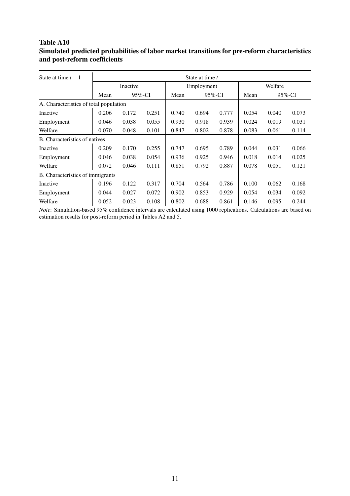#### Table A10

## Simulated predicted probabilities of labor market transitions for pre-reform characteristics and post-reform coefficients

| State at time $t-1$                    | State at time t |       |            |       |            |        |       |         |        |  |
|----------------------------------------|-----------------|-------|------------|-------|------------|--------|-------|---------|--------|--|
|                                        | Inactive        |       |            |       | Employment |        |       | Welfare |        |  |
|                                        | Mean            |       | $95\%$ -CI | Mean  |            | 95%-CI | Mean  |         | 95%-CI |  |
| A. Characteristics of total population |                 |       |            |       |            |        |       |         |        |  |
| Inactive                               | 0.206           | 0.172 | 0.251      | 0.740 | 0.694      | 0.777  | 0.054 | 0.040   | 0.073  |  |
| Employment                             | 0.046           | 0.038 | 0.055      | 0.930 | 0.918      | 0.939  | 0.024 | 0.019   | 0.031  |  |
| Welfare                                | 0.070           | 0.048 | 0.101      | 0.847 | 0.802      | 0.878  | 0.083 | 0.061   | 0.114  |  |
| <b>B.</b> Characteristics of natives   |                 |       |            |       |            |        |       |         |        |  |
| Inactive                               | 0.209           | 0.170 | 0.255      | 0.747 | 0.695      | 0.789  | 0.044 | 0.031   | 0.066  |  |
| Employment                             | 0.046           | 0.038 | 0.054      | 0.936 | 0.925      | 0.946  | 0.018 | 0.014   | 0.025  |  |
| Welfare                                | 0.072           | 0.046 | 0.111      | 0.851 | 0.792      | 0.887  | 0.078 | 0.051   | 0.121  |  |
| B. Characteristics of immigrants       |                 |       |            |       |            |        |       |         |        |  |
| Inactive                               | 0.196           | 0.122 | 0.317      | 0.704 | 0.564      | 0.786  | 0.100 | 0.062   | 0.168  |  |
| Employment                             | 0.044           | 0.027 | 0.072      | 0.902 | 0.853      | 0.929  | 0.054 | 0.034   | 0.092  |  |
| Welfare                                | 0.052           | 0.023 | 0.108      | 0.802 | 0.688      | 0.861  | 0.146 | 0.095   | 0.244  |  |

*Note*: Simulation-based 95% confidence intervals are calculated using 1000 replications. Calculations are based on estimation results for post-reform period in Tables A2 and 5.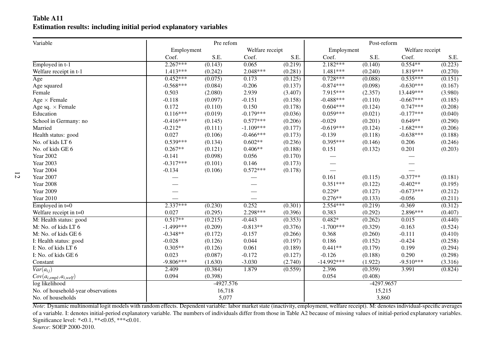## Table A11Estimation results: including initial period explanatory variables

| Variable                           |             | Pre refom   |                 |         | Post-reform              |              |                 |         |
|------------------------------------|-------------|-------------|-----------------|---------|--------------------------|--------------|-----------------|---------|
|                                    | Employment  |             | Welfare receipt |         | Employment               |              | Welfare receipt |         |
|                                    | Coef.       | S.E.        | Coef.           | S.E.    | Coef.                    | S.E.         | Coef.           | S.E.    |
| Employed in t-1                    | $2.267***$  | (0.143)     | 0.065           | (0.219) | $2.182***$               | (0.140)      | $0.554**$       | (0.223) |
| Welfare receipt in t-1             | $1.413***$  | (0.242)     | $2.048***$      | (0.281) | 1.481***                 | (0.240)      | 1.819***        | (0.270) |
| Age                                | $0.452***$  | (0.075)     | 0.173           | (0.125) | $0.728***$               | (0.088)      | $0.535***$      | (0.151) |
| Age squared                        | $-0.568***$ | (0.084)     | $-0.206$        | (0.137) | $-0.874***$              | (0.098)      | $-0.630***$     | (0.167) |
| Female                             | 0.503       | (2.080)     | 2.939           | (3.407) | 7.915***                 | (2.357)      | 13.449***       | (3.980) |
| Age $\times$ Female                | $-0.118$    | (0.097)     | $-0.151$        | (0.158) | $-0.488***$              | (0.110)      | $-0.667***$     | (0.185) |
| Age sq. $\times$ Female            | 0.172       | (0.110)     | 0.150           | (0.178) | $0.604***$               | (0.124)      | $0.747***$      | (0.208) |
| Education                          | $0.116***$  | (0.019)     | $-0.179***$     | (0.036) | $0.059***$               | (0.021)      | $-0.177***$     | (0.040) |
| School in Germany: no              | $-0.416***$ | (0.145)     | $0.577***$      | (0.206) | $-0.029$                 | (0.201)      | $0.649**$       | (0.290) |
| Married                            | $-0.212*$   | (0.111)     | $-1.109***$     | (0.177) | $-0.619***$              | (0.124)      | $-1.682***$     | (0.206) |
| Health status: good                | 0.027       | (0.106)     | $-0.466***$     | (0.173) | $-0.139$                 | (0.118)      | $-0.638***$     | (0.188) |
| No. of kids LT 6                   | $0.539***$  | (0.134)     | $0.602**$       | (0.236) | $0.395***$               | (0.146)      | 0.206           | (0.246) |
| No. of kids GE 6                   | $0.267**$   | (0.121)     | $0.406**$       | (0.188) | 0.151                    | (0.132)      | 0.201           | (0.203) |
| <b>Year 2002</b>                   | $-0.141$    | (0.098)     | 0.056           | (0.170) |                          |              |                 |         |
| <b>Year 2003</b>                   | $-0.317***$ | (0.101)     | 0.146           | (0.173) | $\overline{\phantom{m}}$ |              |                 |         |
| <b>Year 2004</b>                   | $-0.134$    | (0.106)     | $0.572***$      | (0.178) |                          |              |                 |         |
| <b>Year 2007</b>                   |             |             |                 |         | 0.161                    | (0.115)      | $-0.377**$      | (0.181) |
| <b>Year 2008</b>                   |             |             |                 |         | $0.351***$               | (0.122)      | $-0.402**$      | (0.195) |
| <b>Year 2009</b>                   |             |             |                 |         | $0.229*$                 | (0.127)      | $-0.673***$     | (0.212) |
| <b>Year 2010</b>                   |             |             |                 |         | $0.276**$                | (0.133)      | $-0.056$        | (0.211) |
| Employed in $t=0$                  | $2.337***$  | (0.230)     | 0.252           | (0.301) | $2.554***$               | (0.219)      | $-0.369$        | (0.312) |
| Welfare receipt in $t=0$           | 0.027       | (0.295)     | 2.298***        | (0.396) | 0.383                    | (0.292)      | 2.896***        | (0.407) |
| M: Health status: good             | $0.517**$   | (0.215)     | $-0.443$        | (0.353) | $0.482*$                 | (0.262)      | 0.015           | (0.440) |
| M: No. of kids LT 6                | $-1.499***$ | (0.209)     | $-0.813**$      | (0.376) | $-1.700***$              | (0.329)      | $-0.163$        | (0.524) |
| M: No. of kids GE 6                | $-0.348**$  | (0.172)     | $-0.157$        | (0.266) | 0.368                    | (0.260)      | $-0.111$        | (0.410) |
| I: Health status: good             | $-0.028$    | (0.126)     | 0.044           | (0.197) | 0.186                    | (0.152)      | $-0.424$        | (0.258) |
| I: No. of kids LT 6                | $0.305**$   | (0.126)     | 0.061           | (0.189) | $0.441**$                | (0.179)      | 0.199           | (0.294) |
| I: No. of kids GE 6                | 0.023       | (0.087)     | $-0.172$        | (0.127) | $-0.126$                 | (0.188)      | 0.290           | (0.298) |
| Constant                           | $-9.806***$ | (1.630)     | $-3.030$        | (2.740) | $-14.992***$             | (1.922)      | $-9.510***$     | (3.316) |
| $\overline{Var(a_{ij})}$           | 2.409       | (0.384)     | 1.879           | (0.559) | 2.396                    | (0.359)      | 3.991           | (0.824) |
| $Cov(a_{i,empl}, a_{i,welf})$      | 0.094       | (0.398)     |                 |         | 0.054                    | (0.408)      |                 |         |
| log likelihood                     |             | $-4927.576$ |                 |         |                          | $-4297.9657$ |                 |         |
| No. of household-year observations |             | 16,718      |                 |         |                          | 15,215       |                 |         |
| No. of households                  |             | 5,077       |                 |         |                          | 3,860        |                 |         |

*Note*: Dynamic multinomial logit models with random effects. Dependent variable: labor market state (inactivity, employment, welfare receipt). M: denotes individual-specific averages of <sup>a</sup> variable. I: denotes initial-period explanatory variable. The numbers of individuals differ from those in Table A2 because of missing values of initial-period explanatory variables. Significance level:  $*<0.1$ ,  $**<0.05$ ,  $**<0.01$ .

*Source*: SOEP 2000-2010.